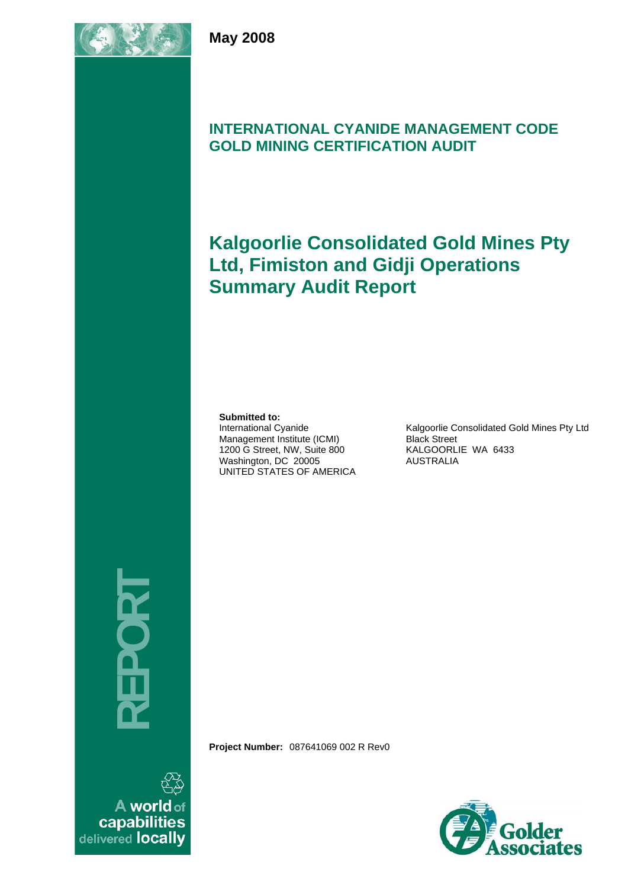

## **INTERNATIONAL CYANIDE MANAGEMENT CODE GOLD MINING CERTIFICATION AUDIT**

# **Kalgoorlie Consolidated Gold Mines Pty Ltd, Fimiston and Gidji Operations Summary Audit Report**

#### **Submitted to:**

International Cyanide Management Institute (ICMI) 1200 G Street, NW, Suite 800 Washington, DC 20005 UNITED STATES OF AMERICA

Kalgoorlie Consolidated Gold Mines Pty Ltd Black Street KALGOORLIE WA 6433 AUSTRALIA

**REPORT** 

**Project Number:** 087641069 002 R Rev0



A world of capabilities delivered locally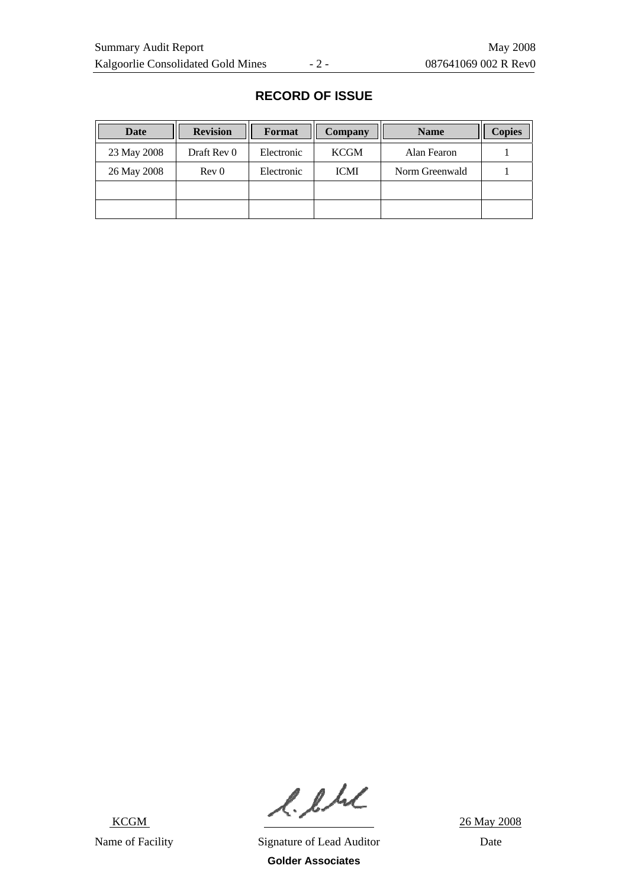| Date        | <b>Revision</b>  | Format     | <b>Company</b> | <b>Name</b>    | <b>Copies</b> |
|-------------|------------------|------------|----------------|----------------|---------------|
| 23 May 2008 | Draft Rev 0      | Electronic | <b>KCGM</b>    | Alan Fearon    |               |
| 26 May 2008 | Rev <sub>0</sub> | Electronic | <b>ICMI</b>    | Norm Greenwald |               |
|             |                  |            |                |                |               |
|             |                  |            |                |                |               |

### **RECORD OF ISSUE**

 $R.A.L$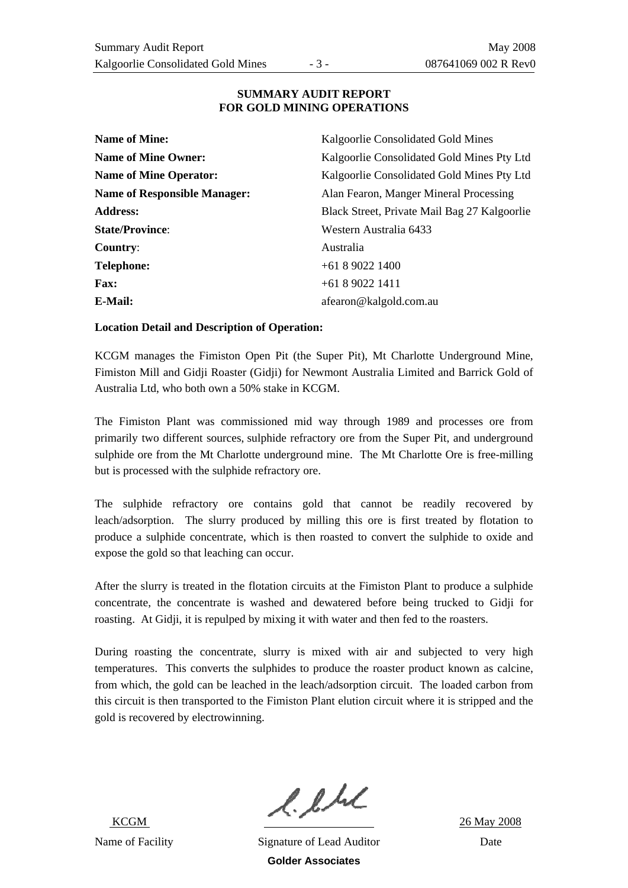#### **SUMMARY AUDIT REPORT FOR GOLD MINING OPERATIONS**

| <b>Name of Mine:</b>                | Kalgoorlie Consolidated Gold Mines           |
|-------------------------------------|----------------------------------------------|
| <b>Name of Mine Owner:</b>          | Kalgoorlie Consolidated Gold Mines Pty Ltd   |
| <b>Name of Mine Operator:</b>       | Kalgoorlie Consolidated Gold Mines Pty Ltd   |
| <b>Name of Responsible Manager:</b> | Alan Fearon, Manger Mineral Processing       |
| <b>Address:</b>                     | Black Street, Private Mail Bag 27 Kalgoorlie |
| <b>State/Province:</b>              | Western Australia 6433                       |
| Country:                            | Australia                                    |
| <b>Telephone:</b>                   | $+61890221400$                               |
| <b>Fax:</b>                         | $+61890221411$                               |
| E-Mail:                             | afearon@kalgold.com.au                       |

#### **Location Detail and Description of Operation:**

KCGM manages the Fimiston Open Pit (the Super Pit), Mt Charlotte Underground Mine, Fimiston Mill and Gidji Roaster (Gidji) for Newmont Australia Limited and Barrick Gold of Australia Ltd, who both own a 50% stake in KCGM.

The Fimiston Plant was commissioned mid way through 1989 and processes ore from primarily two different sources, sulphide refractory ore from the Super Pit, and underground sulphide ore from the Mt Charlotte underground mine. The Mt Charlotte Ore is free-milling but is processed with the sulphide refractory ore.

The sulphide refractory ore contains gold that cannot be readily recovered by leach/adsorption. The slurry produced by milling this ore is first treated by flotation to produce a sulphide concentrate, which is then roasted to convert the sulphide to oxide and expose the gold so that leaching can occur.

After the slurry is treated in the flotation circuits at the Fimiston Plant to produce a sulphide concentrate, the concentrate is washed and dewatered before being trucked to Gidji for roasting. At Gidji, it is repulped by mixing it with water and then fed to the roasters.

During roasting the concentrate, slurry is mixed with air and subjected to very high temperatures. This converts the sulphides to produce the roaster product known as calcine, from which, the gold can be leached in the leach/adsorption circuit. The loaded carbon from this circuit is then transported to the Fimiston Plant elution circuit where it is stripped and the gold is recovered by electrowinning.

 $l.l.l.l$ <br> $26$  May 2008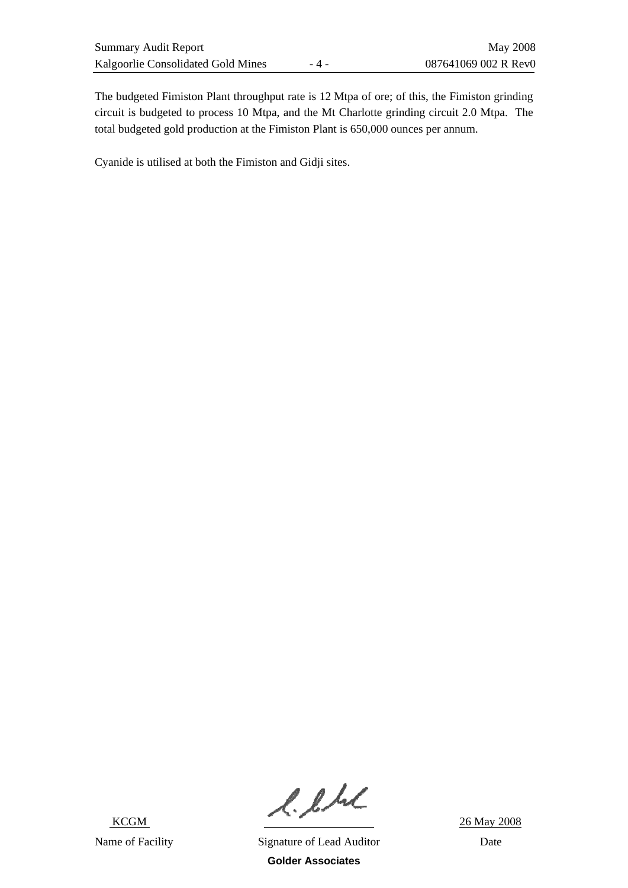The budgeted Fimiston Plant throughput rate is 12 Mtpa of ore; of this, the Fimiston grinding circuit is budgeted to process 10 Mtpa, and the Mt Charlotte grinding circuit 2.0 Mtpa. The total budgeted gold production at the Fimiston Plant is 650,000 ounces per annum.

Cyanide is utilised at both the Fimiston and Gidji sites.

 $R.A.L.$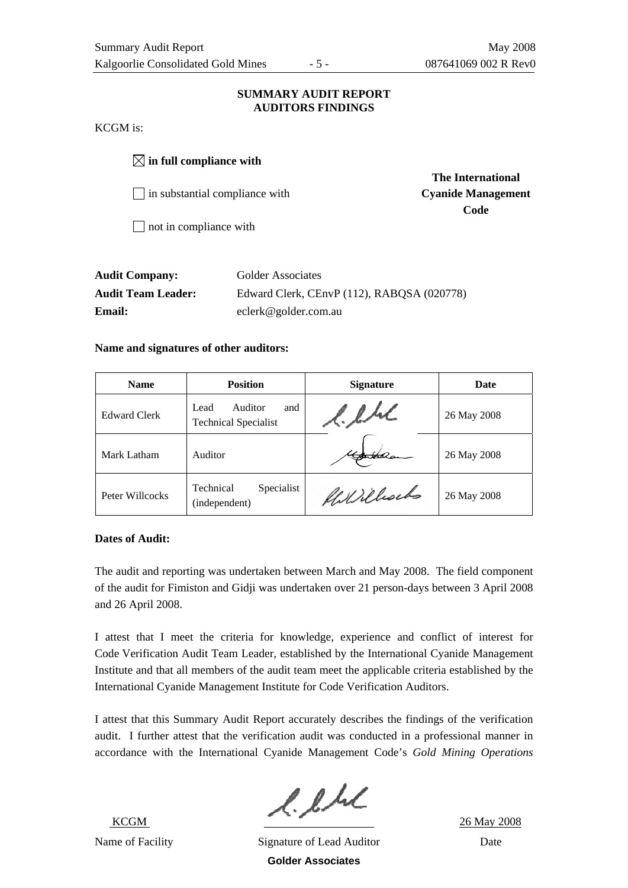#### **SUMMARY AUDIT REPORT AUDITORS FINDINGS**

KCGM is:

 $\boxtimes$  in full compliance with

□ in substantial compliance with **Cyanide Management** 

 **The International Code** 

 $\Box$  not in compliance with

| <b>Audit Company:</b>     | Golder Associates                          |
|---------------------------|--------------------------------------------|
| <b>Audit Team Leader:</b> | Edward Clerk, CEnvP (112), RABQSA (020778) |
| <b>Email:</b>             | eclerk@golder.com.au                       |

### **Name and signatures of other auditors:**

| <b>Name</b>         | <b>Position</b>                                       | <b>Signature</b> | Date        |
|---------------------|-------------------------------------------------------|------------------|-------------|
| <b>Edward Clerk</b> | Auditor<br>and<br>Lead<br><b>Technical Specialist</b> | l. l.hl          | 26 May 2008 |
| Mark Latham         | Auditor                                               |                  | 26 May 2008 |
| Peter Willcocks     | Technical<br>Specialist<br>(independent)              | Killillochs      | 26 May 2008 |

### **Dates of Audit:**

The audit and reporting was undertaken between March and May 2008. The field component of the audit for Fimiston and Gidji was undertaken over 21 person-days between 3 April 2008 and 26 April 2008.

I attest that I meet the criteria for knowledge, experience and conflict of interest for Code Verification Audit Team Leader, established by the International Cyanide Management Institute and that all members of the audit team meet the applicable criteria established by the International Cyanide Management Institute for Code Verification Auditors.

I attest that this Summary Audit Report accurately describes the findings of the verification audit. I further attest that the verification audit was conducted in a professional manner in accordance with the International Cyanide Management Code's *Gold Mining Operations* 

 KCGM Name of Facility Signature of Lead Auditor Date

 $2.6 M/L$  26 May 2008

**Golder Associates**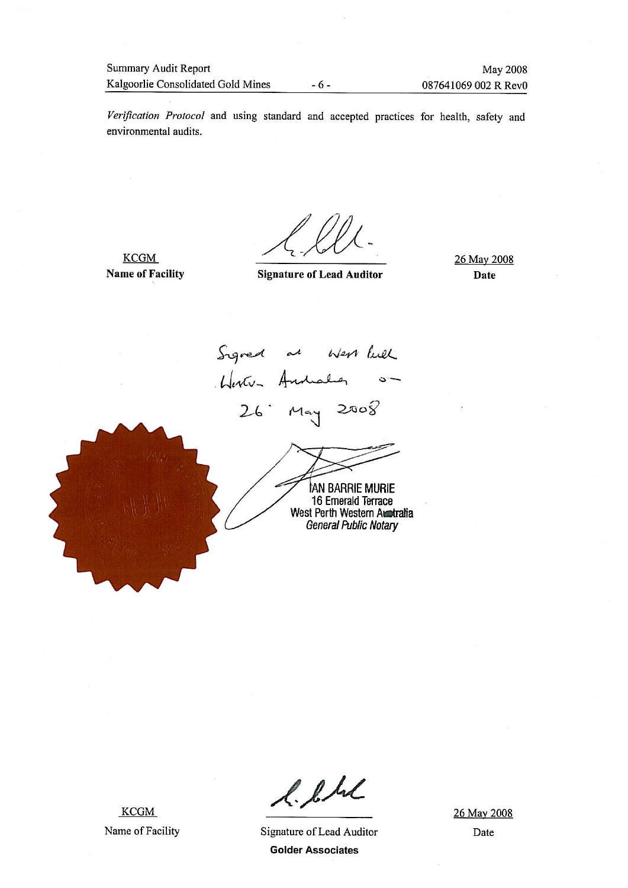$-6-$ 

Verification Protocol and using standard and accepted practices for health, safety and environmental audits.

**KCGM Name of Facility** 

**Signature of Lead Auditor** 

26 May 2008 **Date** 

Signed as west like 26 May 2008 **IAN BARRIE MURIE** 16 Emerald Terrace West Perth Western Australia General Public Notary

**KCGM** Name of Facility

l. l.hl

Signature of Lead Auditor **Golder Associates** 

26 May 2008 Date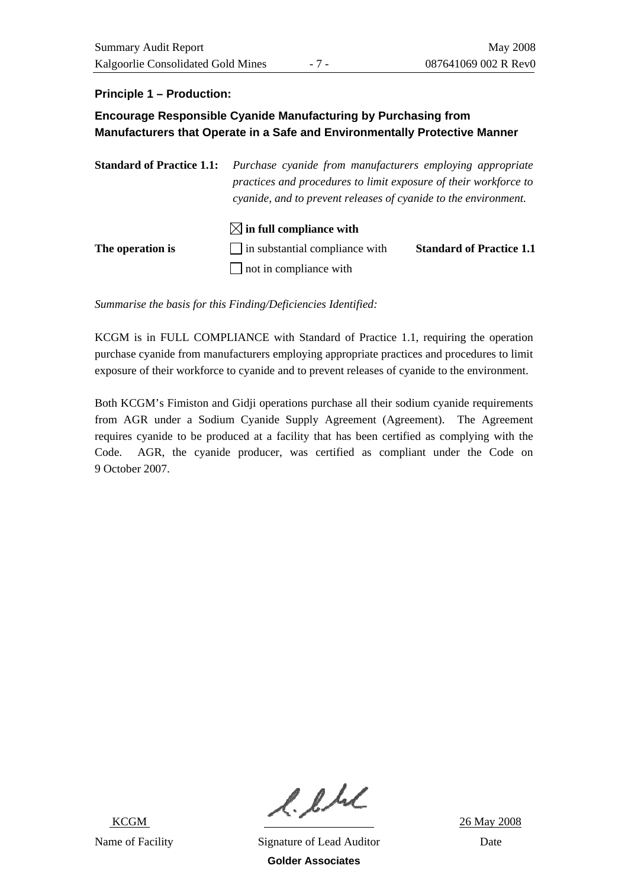### **Principle 1 – Production:**

### **Encourage Responsible Cyanide Manufacturing by Purchasing from Manufacturers that Operate in a Safe and Environmentally Protective Manner**

**Standard of Practice 1.1:** *Purchase cyanide from manufacturers employing appropriate practices and procedures to limit exposure of their workforce to cyanide, and to prevent releases of cyanide to the environment.* 

|                  | $\boxtimes$ in full compliance with   |                                 |
|------------------|---------------------------------------|---------------------------------|
| The operation is | $\Box$ in substantial compliance with | <b>Standard of Practice 1.1</b> |
|                  | $\Box$ not in compliance with         |                                 |

*Summarise the basis for this Finding/Deficiencies Identified:* 

KCGM is in FULL COMPLIANCE with Standard of Practice 1.1, requiring the operation purchase cyanide from manufacturers employing appropriate practices and procedures to limit exposure of their workforce to cyanide and to prevent releases of cyanide to the environment.

Both KCGM's Fimiston and Gidji operations purchase all their sodium cyanide requirements from AGR under a Sodium Cyanide Supply Agreement (Agreement). The Agreement requires cyanide to be produced at a facility that has been certified as complying with the Code. AGR, the cyanide producer, was certified as compliant under the Code on 9 October 2007.

 $l.l.l.l.$  26 May 2008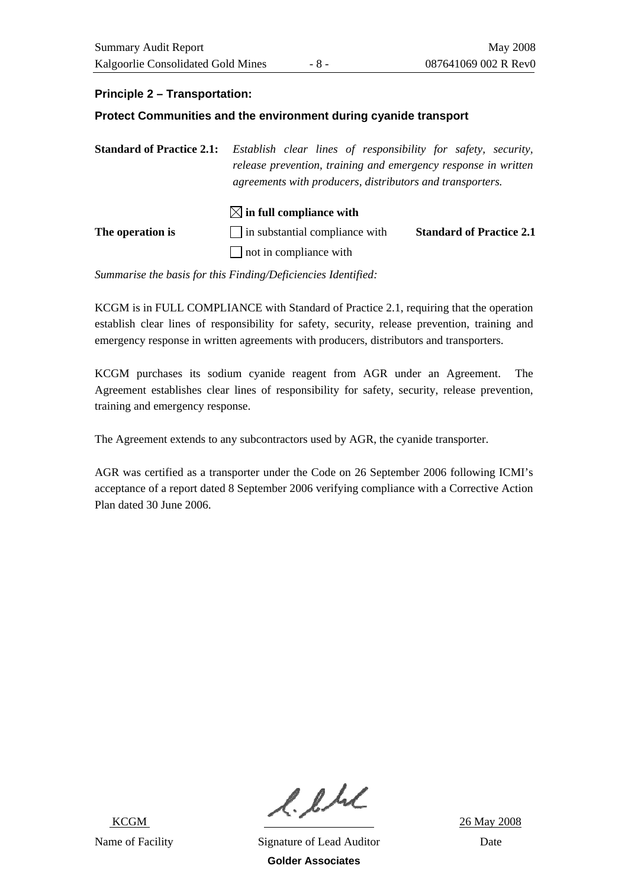### **Principle 2 – Transportation:**

#### **Protect Communities and the environment during cyanide transport**

**Standard of Practice 2.1:** *Establish clear lines of responsibility for safety, security, release prevention, training and emergency response in written agreements with producers, distributors and transporters.* 

|                  | $\boxtimes$ in full compliance with   |                                 |
|------------------|---------------------------------------|---------------------------------|
| The operation is | $\Box$ in substantial compliance with | <b>Standard of Practice 2.1</b> |
|                  | $\Box$ not in compliance with         |                                 |

*Summarise the basis for this Finding/Deficiencies Identified:* 

KCGM is in FULL COMPLIANCE with Standard of Practice 2.1, requiring that the operation establish clear lines of responsibility for safety, security, release prevention, training and emergency response in written agreements with producers, distributors and transporters.

KCGM purchases its sodium cyanide reagent from AGR under an Agreement. The Agreement establishes clear lines of responsibility for safety, security, release prevention, training and emergency response.

The Agreement extends to any subcontractors used by AGR, the cyanide transporter.

AGR was certified as a transporter under the Code on 26 September 2006 following ICMI's acceptance of a report dated 8 September 2006 verifying compliance with a Corrective Action Plan dated 30 June 2006.

 $l.l.l.l$ <br> $26$  May 2008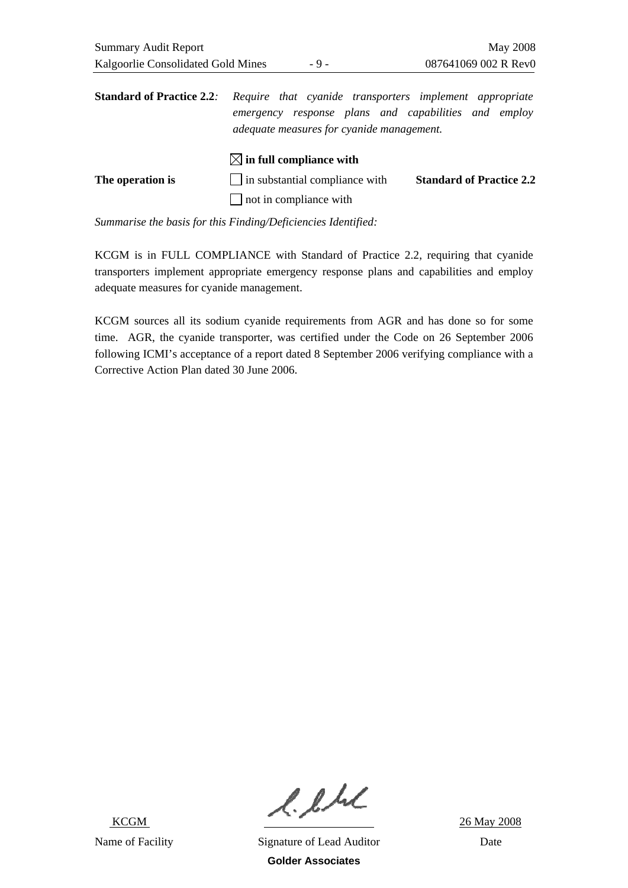| <b>Standard of Practice 2.2.</b> | Require that cyanide transporters implement appropriate<br>emergency response plans and capabilities and employ<br>adequate measures for cyanide management. |                                 |
|----------------------------------|--------------------------------------------------------------------------------------------------------------------------------------------------------------|---------------------------------|
|                                  | $\boxtimes$ in full compliance with                                                                                                                          |                                 |
| The operation is                 | $\Box$ in substantial compliance with                                                                                                                        | <b>Standard of Practice 2.2</b> |
|                                  | $\Box$ not in compliance with                                                                                                                                |                                 |

KCGM is in FULL COMPLIANCE with Standard of Practice 2.2, requiring that cyanide transporters implement appropriate emergency response plans and capabilities and employ adequate measures for cyanide management.

KCGM sources all its sodium cyanide requirements from AGR and has done so for some time. AGR, the cyanide transporter, was certified under the Code on 26 September 2006 following ICMI's acceptance of a report dated 8 September 2006 verifying compliance with a Corrective Action Plan dated 30 June 2006.

 $l.l.l.l$ <br> $26$  May 2008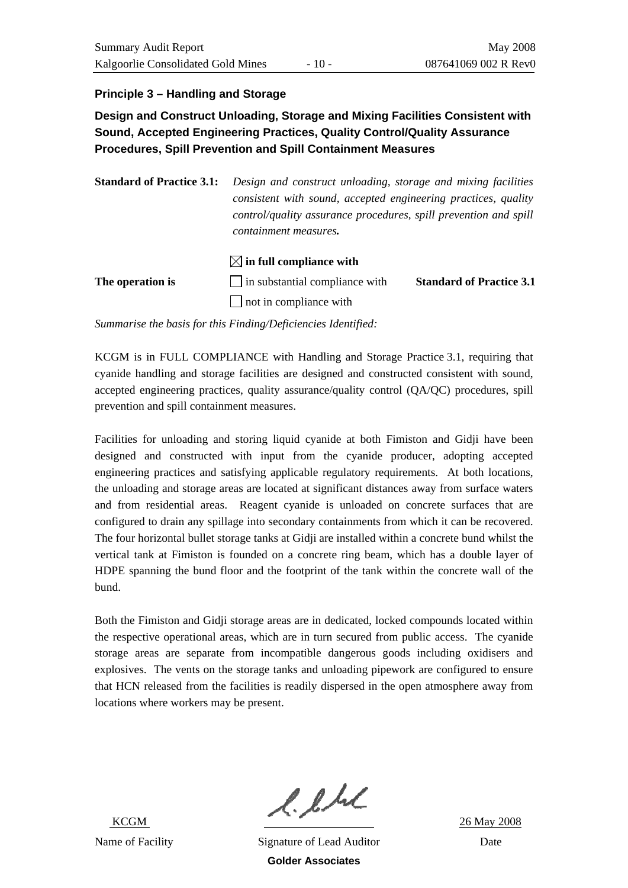### **Principle 3 – Handling and Storage**

**Design and Construct Unloading, Storage and Mixing Facilities Consistent with Sound, Accepted Engineering Practices, Quality Control/Quality Assurance Procedures, Spill Prevention and Spill Containment Measures** 

**Standard of Practice 3.1:** *Design and construct unloading, storage and mixing facilities consistent with sound, accepted engineering practices, quality control/quality assurance procedures, spill prevention and spill containment measures.*

### $\boxtimes$  in full compliance with

| The operation is | $\Box$ in substantial compliance with | <b>Standard of Practice 3.1</b> |
|------------------|---------------------------------------|---------------------------------|
|                  | $\Box$ not in compliance with         |                                 |

*Summarise the basis for this Finding/Deficiencies Identified:* 

KCGM is in FULL COMPLIANCE with Handling and Storage Practice 3.1, requiring that cyanide handling and storage facilities are designed and constructed consistent with sound, accepted engineering practices, quality assurance/quality control (QA/QC) procedures, spill prevention and spill containment measures.

Facilities for unloading and storing liquid cyanide at both Fimiston and Gidji have been designed and constructed with input from the cyanide producer, adopting accepted engineering practices and satisfying applicable regulatory requirements. At both locations, the unloading and storage areas are located at significant distances away from surface waters and from residential areas. Reagent cyanide is unloaded on concrete surfaces that are configured to drain any spillage into secondary containments from which it can be recovered. The four horizontal bullet storage tanks at Gidji are installed within a concrete bund whilst the vertical tank at Fimiston is founded on a concrete ring beam, which has a double layer of HDPE spanning the bund floor and the footprint of the tank within the concrete wall of the bund.

Both the Fimiston and Gidji storage areas are in dedicated, locked compounds located within the respective operational areas, which are in turn secured from public access. The cyanide storage areas are separate from incompatible dangerous goods including oxidisers and explosives. The vents on the storage tanks and unloading pipework are configured to ensure that HCN released from the facilities is readily dispersed in the open atmosphere away from locations where workers may be present.

 $l.l.l.l$ <br> $26$  May 2008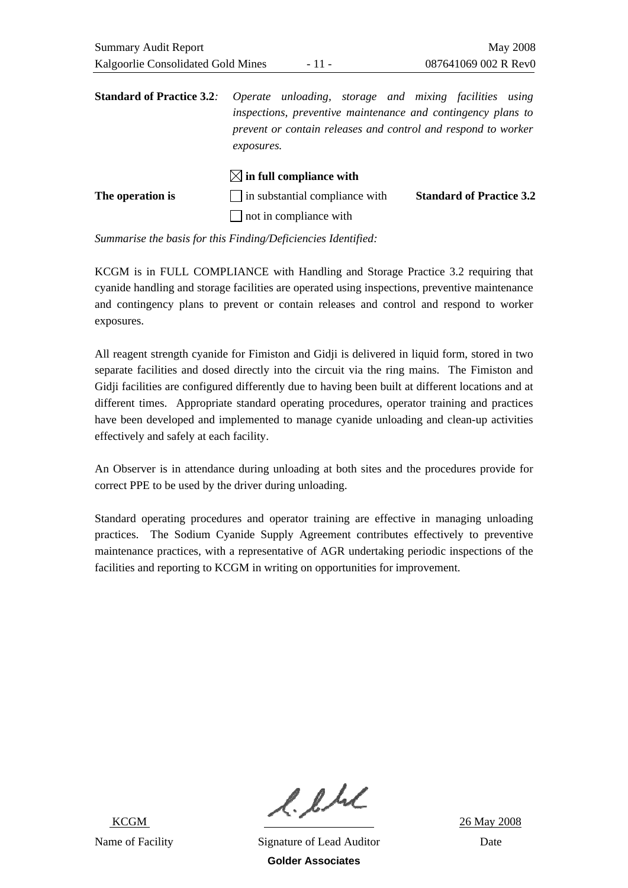| <b>Standard of Practice 3.2.</b> | Operate unloading, storage and mixing facilities using                                                                                      |                                 |
|----------------------------------|---------------------------------------------------------------------------------------------------------------------------------------------|---------------------------------|
|                                  | inspections, preventive maintenance and contingency plans to<br>prevent or contain releases and control and respond to worker<br>exposures. |                                 |
|                                  | $\bowtie$ in full compliance with                                                                                                           |                                 |
| The operation is                 | $\Box$ in substantial compliance with                                                                                                       | <b>Standard of Practice 3.2</b> |

 $\Box$  not in compliance with

*Summarise the basis for this Finding/Deficiencies Identified:* 

KCGM is in FULL COMPLIANCE with Handling and Storage Practice 3.2 requiring that cyanide handling and storage facilities are operated using inspections, preventive maintenance and contingency plans to prevent or contain releases and control and respond to worker exposures.

All reagent strength cyanide for Fimiston and Gidji is delivered in liquid form, stored in two separate facilities and dosed directly into the circuit via the ring mains. The Fimiston and Gidji facilities are configured differently due to having been built at different locations and at different times. Appropriate standard operating procedures, operator training and practices have been developed and implemented to manage cyanide unloading and clean-up activities effectively and safely at each facility.

An Observer is in attendance during unloading at both sites and the procedures provide for correct PPE to be used by the driver during unloading.

Standard operating procedures and operator training are effective in managing unloading practices. The Sodium Cyanide Supply Agreement contributes effectively to preventive maintenance practices, with a representative of AGR undertaking periodic inspections of the facilities and reporting to KCGM in writing on opportunities for improvement.

 $l.l.l.l$ <br> $26$  May 2008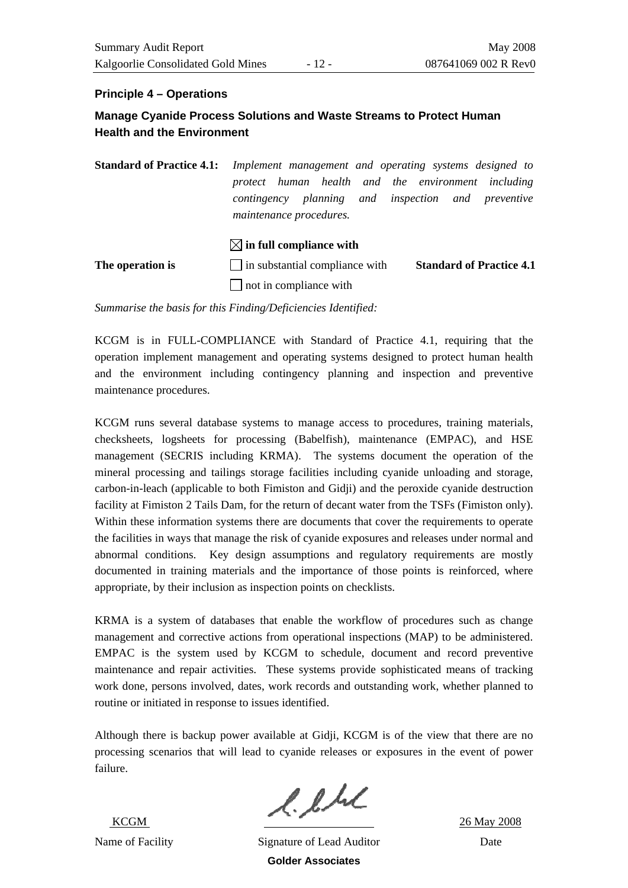#### **Principle 4 – Operations**

### **Manage Cyanide Process Solutions and Waste Streams to Protect Human Health and the Environment**

**Standard of Practice 4.1:** *Implement management and operating systems designed to protect human health and the environment including contingency planning and inspection and preventive maintenance procedures.* 

### $\boxtimes$  in full compliance with

**The operation is**  $\Box$  in substantial compliance with **Standard of Practice 4.1**  $\Box$  not in compliance with

*Summarise the basis for this Finding/Deficiencies Identified:* 

KCGM is in FULL-COMPLIANCE with Standard of Practice 4.1, requiring that the operation implement management and operating systems designed to protect human health and the environment including contingency planning and inspection and preventive maintenance procedures.

KCGM runs several database systems to manage access to procedures, training materials, checksheets, logsheets for processing (Babelfish), maintenance (EMPAC), and HSE management (SECRIS including KRMA). The systems document the operation of the mineral processing and tailings storage facilities including cyanide unloading and storage, carbon-in-leach (applicable to both Fimiston and Gidji) and the peroxide cyanide destruction facility at Fimiston 2 Tails Dam, for the return of decant water from the TSFs (Fimiston only). Within these information systems there are documents that cover the requirements to operate the facilities in ways that manage the risk of cyanide exposures and releases under normal and abnormal conditions. Key design assumptions and regulatory requirements are mostly documented in training materials and the importance of those points is reinforced, where appropriate, by their inclusion as inspection points on checklists.

KRMA is a system of databases that enable the workflow of procedures such as change management and corrective actions from operational inspections (MAP) to be administered. EMPAC is the system used by KCGM to schedule, document and record preventive maintenance and repair activities. These systems provide sophisticated means of tracking work done, persons involved, dates, work records and outstanding work, whether planned to routine or initiated in response to issues identified.

Although there is backup power available at Gidji, KCGM is of the view that there are no processing scenarios that will lead to cyanide releases or exposures in the event of power failure.

 $l.l.l.l.$ <br> $k_{\text{CGM}}$  26 May 2008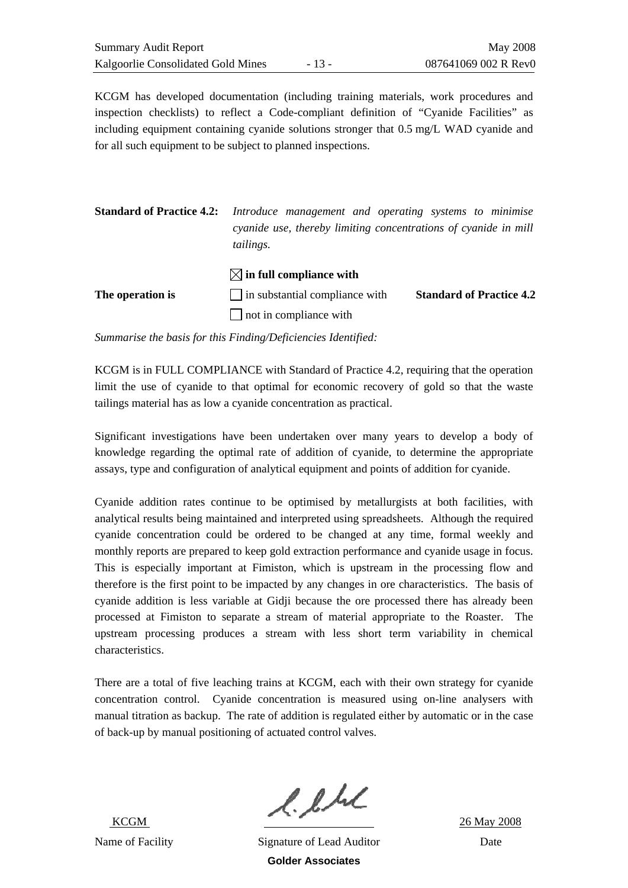KCGM has developed documentation (including training materials, work procedures and inspection checklists) to reflect a Code-compliant definition of "Cyanide Facilities" as including equipment containing cyanide solutions stronger that 0.5 mg/L WAD cyanide and for all such equipment to be subject to planned inspections.

**Standard of Practice 4.2:** *Introduce management and operating systems to minimise cyanide use, thereby limiting concentrations of cyanide in mill tailings.* 

|                  | $\boxtimes$ in full compliance with   |                                 |
|------------------|---------------------------------------|---------------------------------|
| The operation is | $\Box$ in substantial compliance with | <b>Standard of Practice 4.2</b> |
|                  | $\Box$ not in compliance with         |                                 |

*Summarise the basis for this Finding/Deficiencies Identified:* 

KCGM is in FULL COMPLIANCE with Standard of Practice 4.2, requiring that the operation limit the use of cyanide to that optimal for economic recovery of gold so that the waste tailings material has as low a cyanide concentration as practical.

Significant investigations have been undertaken over many years to develop a body of knowledge regarding the optimal rate of addition of cyanide, to determine the appropriate assays, type and configuration of analytical equipment and points of addition for cyanide.

Cyanide addition rates continue to be optimised by metallurgists at both facilities, with analytical results being maintained and interpreted using spreadsheets. Although the required cyanide concentration could be ordered to be changed at any time, formal weekly and monthly reports are prepared to keep gold extraction performance and cyanide usage in focus. This is especially important at Fimiston, which is upstream in the processing flow and therefore is the first point to be impacted by any changes in ore characteristics. The basis of cyanide addition is less variable at Gidji because the ore processed there has already been processed at Fimiston to separate a stream of material appropriate to the Roaster. The upstream processing produces a stream with less short term variability in chemical characteristics.

There are a total of five leaching trains at KCGM, each with their own strategy for cyanide concentration control. Cyanide concentration is measured using on-line analysers with manual titration as backup. The rate of addition is regulated either by automatic or in the case of back-up by manual positioning of actuated control valves.

 $l.l.l.l$ <br> $26$  May 2008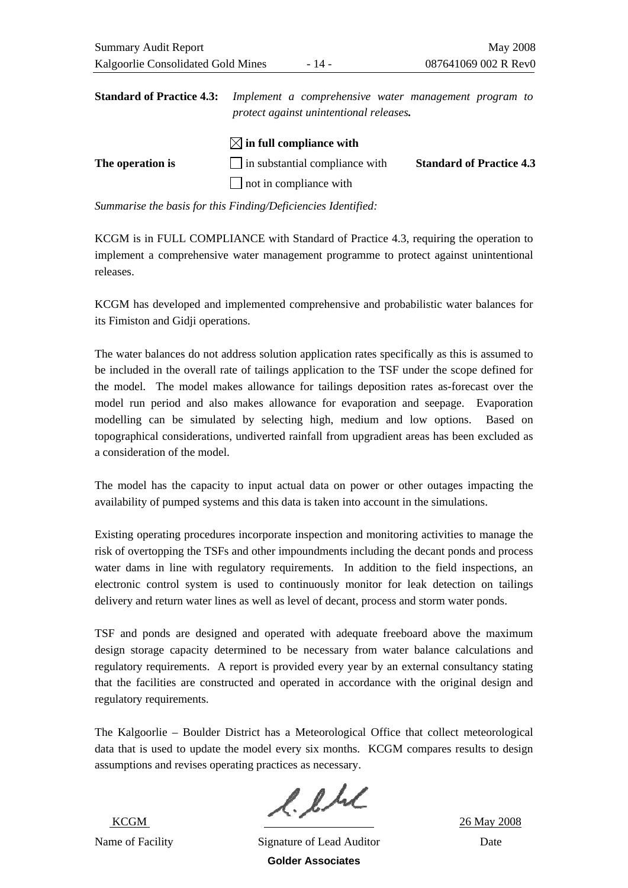| <b>Standard of Practice 4.3:</b> | Implement a comprehensive water management program to |                                 |  |
|----------------------------------|-------------------------------------------------------|---------------------------------|--|
|                                  | protect against unintentional releases.               |                                 |  |
|                                  | $\boxtimes$ in full compliance with                   |                                 |  |
| The operation is                 | $\Box$ in substantial compliance with                 | <b>Standard of Practice 4.3</b> |  |

not in compliance with

*Summarise the basis for this Finding/Deficiencies Identified:* 

KCGM is in FULL COMPLIANCE with Standard of Practice 4.3, requiring the operation to implement a comprehensive water management programme to protect against unintentional releases.

KCGM has developed and implemented comprehensive and probabilistic water balances for its Fimiston and Gidji operations.

The water balances do not address solution application rates specifically as this is assumed to be included in the overall rate of tailings application to the TSF under the scope defined for the model. The model makes allowance for tailings deposition rates as-forecast over the model run period and also makes allowance for evaporation and seepage. Evaporation modelling can be simulated by selecting high, medium and low options. Based on topographical considerations, undiverted rainfall from upgradient areas has been excluded as a consideration of the model.

The model has the capacity to input actual data on power or other outages impacting the availability of pumped systems and this data is taken into account in the simulations.

Existing operating procedures incorporate inspection and monitoring activities to manage the risk of overtopping the TSFs and other impoundments including the decant ponds and process water dams in line with regulatory requirements. In addition to the field inspections, an electronic control system is used to continuously monitor for leak detection on tailings delivery and return water lines as well as level of decant, process and storm water ponds.

TSF and ponds are designed and operated with adequate freeboard above the maximum design storage capacity determined to be necessary from water balance calculations and regulatory requirements. A report is provided every year by an external consultancy stating that the facilities are constructed and operated in accordance with the original design and regulatory requirements.

The Kalgoorlie – Boulder District has a Meteorological Office that collect meteorological data that is used to update the model every six months. KCGM compares results to design assumptions and revises operating practices as necessary.

 $l.l.l.l.$ <br> $k_{\text{CGM}}$  26 May 2008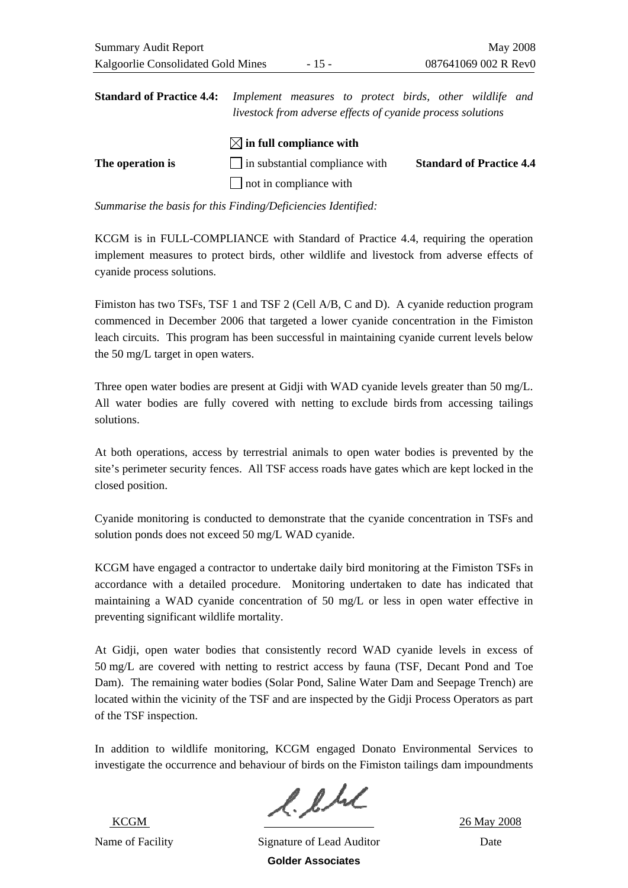| <b>Standard of Practice 4.4:</b> | Implement measures to protect birds, other wildlife and     |                                 |
|----------------------------------|-------------------------------------------------------------|---------------------------------|
|                                  | livestock from adverse effects of cyanide process solutions |                                 |
|                                  | $\boxtimes$ in full compliance with                         |                                 |
| The operation is                 | $\Box$ in substantial compliance with                       | <b>Standard of Practice 4.4</b> |
|                                  | $\Box$ not in compliance with                               |                                 |

KCGM is in FULL-COMPLIANCE with Standard of Practice 4.4, requiring the operation implement measures to protect birds, other wildlife and livestock from adverse effects of cyanide process solutions.

Fimiston has two TSFs, TSF 1 and TSF 2 (Cell A/B, C and D). A cyanide reduction program commenced in December 2006 that targeted a lower cyanide concentration in the Fimiston leach circuits. This program has been successful in maintaining cyanide current levels below the 50 mg/L target in open waters.

Three open water bodies are present at Gidji with WAD cyanide levels greater than 50 mg/L. All water bodies are fully covered with netting to exclude birds from accessing tailings solutions.

At both operations, access by terrestrial animals to open water bodies is prevented by the site's perimeter security fences. All TSF access roads have gates which are kept locked in the closed position.

Cyanide monitoring is conducted to demonstrate that the cyanide concentration in TSFs and solution ponds does not exceed 50 mg/L WAD cyanide.

KCGM have engaged a contractor to undertake daily bird monitoring at the Fimiston TSFs in accordance with a detailed procedure. Monitoring undertaken to date has indicated that maintaining a WAD cyanide concentration of 50 mg/L or less in open water effective in preventing significant wildlife mortality.

At Gidji, open water bodies that consistently record WAD cyanide levels in excess of 50 mg/L are covered with netting to restrict access by fauna (TSF, Decant Pond and Toe Dam). The remaining water bodies (Solar Pond, Saline Water Dam and Seepage Trench) are located within the vicinity of the TSF and are inspected by the Gidji Process Operators as part of the TSF inspection.

In addition to wildlife monitoring, KCGM engaged Donato Environmental Services to investigate the occurrence and behaviour of birds on the Fimiston tailings dam impoundments

 $l.l.l.l.$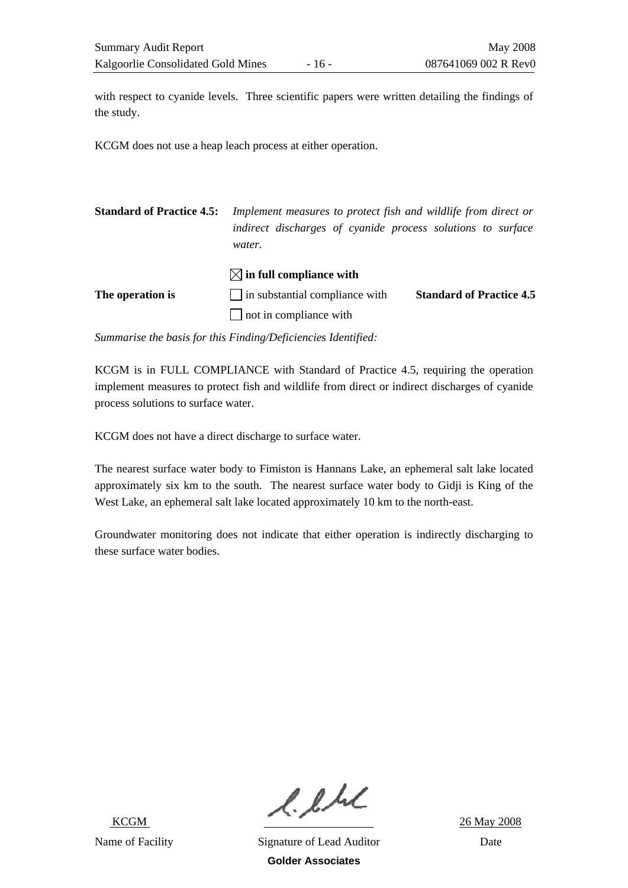with respect to cyanide levels. Three scientific papers were written detailing the findings of the study.

KCGM does not use a heap leach process at either operation.

**Standard of Practice 4.5:** *Implement measures to protect fish and wildlife from direct or indirect discharges of cyanide process solutions to surface water.* 

| The operation is | $\Box$ in substantial compliance with | <b>Standard of Practice 4.5</b> |
|------------------|---------------------------------------|---------------------------------|
|                  | not in compliance with                |                                 |

 **in full compliance with** 

*Summarise the basis for this Finding/Deficiencies Identified:* 

KCGM is in FULL COMPLIANCE with Standard of Practice 4.5, requiring the operation implement measures to protect fish and wildlife from direct or indirect discharges of cyanide process solutions to surface water.

KCGM does not have a direct discharge to surface water.

The nearest surface water body to Fimiston is Hannans Lake, an ephemeral salt lake located approximately six km to the south. The nearest surface water body to Gidji is King of the West Lake, an ephemeral salt lake located approximately 10 km to the north-east.

Groundwater monitoring does not indicate that either operation is indirectly discharging to these surface water bodies.

 $l.l.l.l$ <br> $26$  May 2008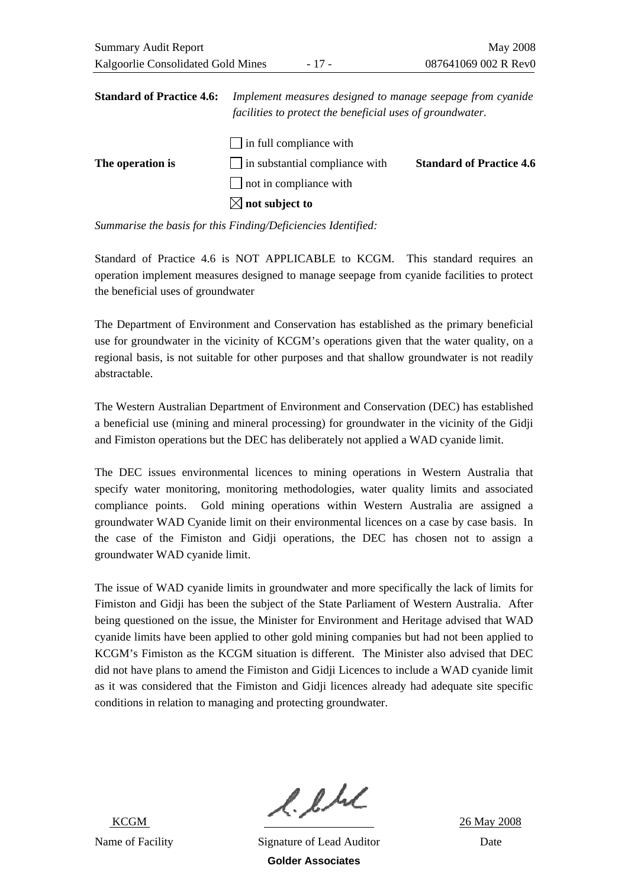|                                              | <b>Summary Audit Report</b> | May 2008             |
|----------------------------------------------|-----------------------------|----------------------|
| Kalgoorlie Consolidated Gold Mines<br>- 17 - |                             | 087641069 002 R Rev0 |

| <b>Standard of Practice 4.6:</b> | Implement measures designed to manage seepage from cyanide<br>facilities to protect the beneficial uses of groundwater. |                                 |
|----------------------------------|-------------------------------------------------------------------------------------------------------------------------|---------------------------------|
| The operation is                 | $\Box$ in full compliance with<br>$\Box$ in substantial compliance with                                                 | <b>Standard of Practice 4.6</b> |
|                                  | $\Box$ not in compliance with                                                                                           |                                 |
|                                  | $\boxtimes$ not subject to                                                                                              |                                 |

Standard of Practice 4.6 is NOT APPLICABLE to KCGM. This standard requires an operation implement measures designed to manage seepage from cyanide facilities to protect the beneficial uses of groundwater

The Department of Environment and Conservation has established as the primary beneficial use for groundwater in the vicinity of KCGM's operations given that the water quality, on a regional basis, is not suitable for other purposes and that shallow groundwater is not readily abstractable.

The Western Australian Department of Environment and Conservation (DEC) has established a beneficial use (mining and mineral processing) for groundwater in the vicinity of the Gidji and Fimiston operations but the DEC has deliberately not applied a WAD cyanide limit.

The DEC issues environmental licences to mining operations in Western Australia that specify water monitoring, monitoring methodologies, water quality limits and associated compliance points. Gold mining operations within Western Australia are assigned a groundwater WAD Cyanide limit on their environmental licences on a case by case basis. In the case of the Fimiston and Gidji operations, the DEC has chosen not to assign a groundwater WAD cyanide limit.

The issue of WAD cyanide limits in groundwater and more specifically the lack of limits for Fimiston and Gidji has been the subject of the State Parliament of Western Australia. After being questioned on the issue, the Minister for Environment and Heritage advised that WAD cyanide limits have been applied to other gold mining companies but had not been applied to KCGM's Fimiston as the KCGM situation is different. The Minister also advised that DEC did not have plans to amend the Fimiston and Gidji Licences to include a WAD cyanide limit as it was considered that the Fimiston and Gidji licences already had adequate site specific conditions in relation to managing and protecting groundwater.

 $l.l.l.l$ <br> $26$  May 2008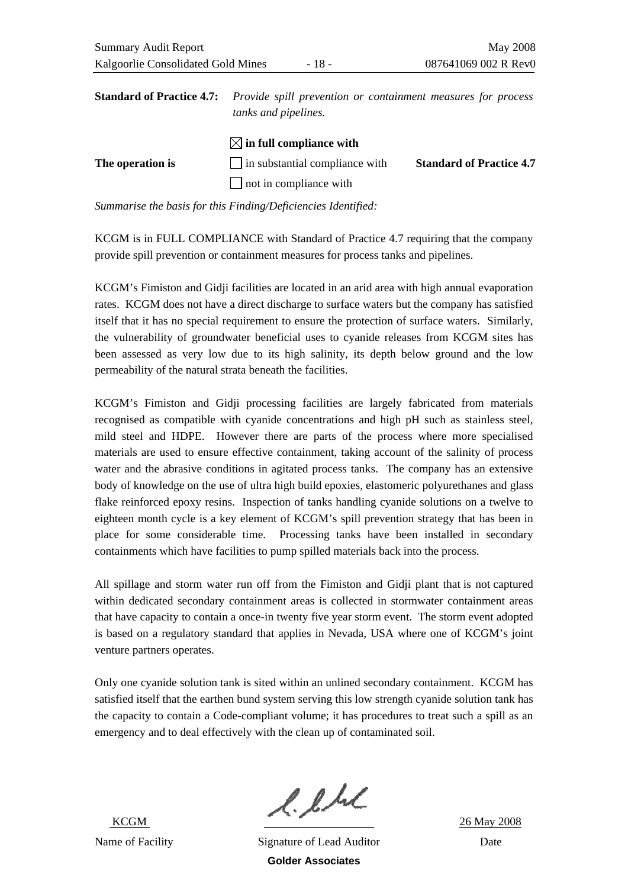| <b>Standard of Practice 4.7:</b> Provide spill prevention or containment measures for process |
|-----------------------------------------------------------------------------------------------|
| <i>tanks and pipelines.</i>                                                                   |
| $\boxtimes$ in full compliance with                                                           |

|                  | $V \vee \mathbf{m}$ in tun compliance with |                                 |
|------------------|--------------------------------------------|---------------------------------|
| The operation is | in substantial compliance with             | <b>Standard of Practice 4.7</b> |
|                  | $\Box$ not in compliance with              |                                 |

KCGM is in FULL COMPLIANCE with Standard of Practice 4.7 requiring that the company provide spill prevention or containment measures for process tanks and pipelines.

KCGM's Fimiston and Gidji facilities are located in an arid area with high annual evaporation rates. KCGM does not have a direct discharge to surface waters but the company has satisfied itself that it has no special requirement to ensure the protection of surface waters. Similarly, the vulnerability of groundwater beneficial uses to cyanide releases from KCGM sites has been assessed as very low due to its high salinity, its depth below ground and the low permeability of the natural strata beneath the facilities.

KCGM's Fimiston and Gidji processing facilities are largely fabricated from materials recognised as compatible with cyanide concentrations and high pH such as stainless steel, mild steel and HDPE. However there are parts of the process where more specialised materials are used to ensure effective containment, taking account of the salinity of process water and the abrasive conditions in agitated process tanks. The company has an extensive body of knowledge on the use of ultra high build epoxies, elastomeric polyurethanes and glass flake reinforced epoxy resins. Inspection of tanks handling cyanide solutions on a twelve to eighteen month cycle is a key element of KCGM's spill prevention strategy that has been in place for some considerable time. Processing tanks have been installed in secondary containments which have facilities to pump spilled materials back into the process.

All spillage and storm water run off from the Fimiston and Gidji plant that is not captured within dedicated secondary containment areas is collected in stormwater containment areas that have capacity to contain a once-in twenty five year storm event. The storm event adopted is based on a regulatory standard that applies in Nevada, USA where one of KCGM's joint venture partners operates.

Only one cyanide solution tank is sited within an unlined secondary containment. KCGM has satisfied itself that the earthen bund system serving this low strength cyanide solution tank has the capacity to contain a Code-compliant volume; it has procedures to treat such a spill as an emergency and to deal effectively with the clean up of contaminated soil.

 $l.l.l.l$ <br> $26$  May 2008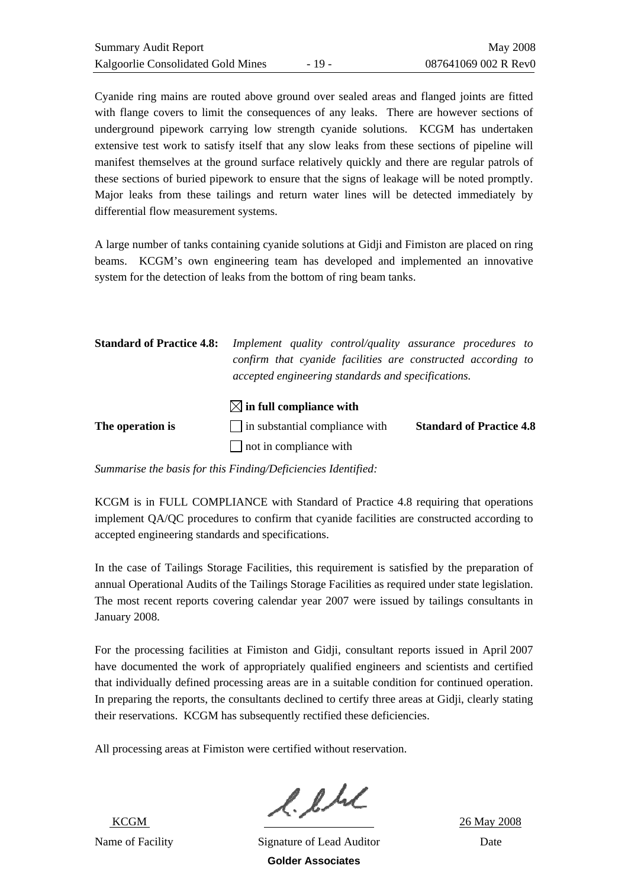Cyanide ring mains are routed above ground over sealed areas and flanged joints are fitted with flange covers to limit the consequences of any leaks. There are however sections of underground pipework carrying low strength cyanide solutions. KCGM has undertaken extensive test work to satisfy itself that any slow leaks from these sections of pipeline will manifest themselves at the ground surface relatively quickly and there are regular patrols of these sections of buried pipework to ensure that the signs of leakage will be noted promptly. Major leaks from these tailings and return water lines will be detected immediately by differential flow measurement systems.

A large number of tanks containing cyanide solutions at Gidji and Fimiston are placed on ring beams. KCGM's own engineering team has developed and implemented an innovative system for the detection of leaks from the bottom of ring beam tanks.

| <b>Standard of Practice 4.8:</b> | Implement quality control/quality assurance procedures to<br>confirm that cyanide facilities are constructed according to<br>accepted engineering standards and specifications. |                                 |
|----------------------------------|---------------------------------------------------------------------------------------------------------------------------------------------------------------------------------|---------------------------------|
| The operation is                 | $\boxtimes$ in full compliance with<br>  in substantial compliance with                                                                                                         | <b>Standard of Practice 4.8</b> |
|                                  | $\Box$ not in compliance with                                                                                                                                                   |                                 |

*Summarise the basis for this Finding/Deficiencies Identified:* 

KCGM is in FULL COMPLIANCE with Standard of Practice 4.8 requiring that operations implement QA/QC procedures to confirm that cyanide facilities are constructed according to accepted engineering standards and specifications.

In the case of Tailings Storage Facilities, this requirement is satisfied by the preparation of annual Operational Audits of the Tailings Storage Facilities as required under state legislation. The most recent reports covering calendar year 2007 were issued by tailings consultants in January 2008.

For the processing facilities at Fimiston and Gidji, consultant reports issued in April 2007 have documented the work of appropriately qualified engineers and scientists and certified that individually defined processing areas are in a suitable condition for continued operation. In preparing the reports, the consultants declined to certify three areas at Gidji, clearly stating their reservations. KCGM has subsequently rectified these deficiencies.

All processing areas at Fimiston were certified without reservation.

 $l.l.l.l.$ <br>ECGM 26 May 2008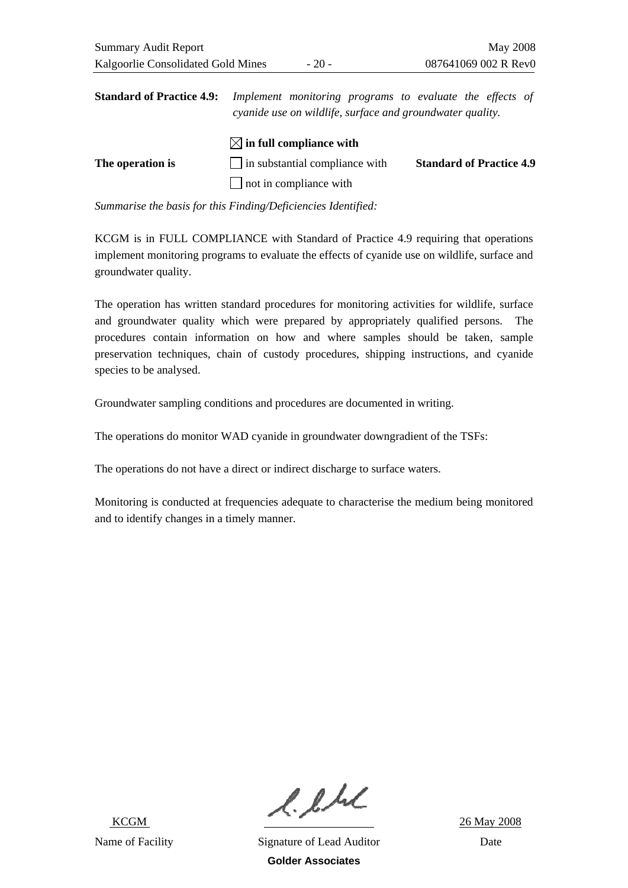**Standard of Practice 4.9:** *Implement monitoring programs to evaluate the effects of cyanide use on wildlife, surface and groundwater quality.* 

|                  | $\boxtimes$ in full compliance with   |                                 |
|------------------|---------------------------------------|---------------------------------|
| The operation is | $\Box$ in substantial compliance with | <b>Standard of Practice 4.9</b> |
|                  | $\Box$ not in compliance with         |                                 |

*Summarise the basis for this Finding/Deficiencies Identified:* 

KCGM is in FULL COMPLIANCE with Standard of Practice 4.9 requiring that operations implement monitoring programs to evaluate the effects of cyanide use on wildlife, surface and groundwater quality.

The operation has written standard procedures for monitoring activities for wildlife, surface and groundwater quality which were prepared by appropriately qualified persons. The procedures contain information on how and where samples should be taken, sample preservation techniques, chain of custody procedures, shipping instructions, and cyanide species to be analysed.

Groundwater sampling conditions and procedures are documented in writing.

The operations do monitor WAD cyanide in groundwater downgradient of the TSFs:

The operations do not have a direct or indirect discharge to surface waters.

Monitoring is conducted at frequencies adequate to characterise the medium being monitored and to identify changes in a timely manner.

 $l.l.l.l$ <br> $26$  May 2008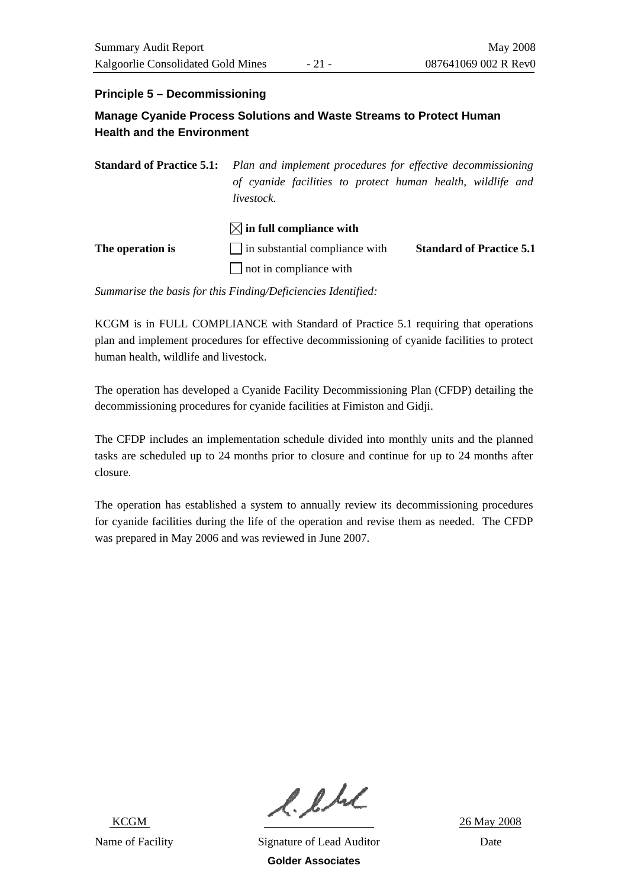### **Principle 5 – Decommissioning**

### **Manage Cyanide Process Solutions and Waste Streams to Protect Human Health and the Environment**

**Standard of Practice 5.1:** *Plan and implement procedures for effective decommissioning of cyanide facilities to protect human health, wildlife and livestock.* 

|                  | $\boxtimes$ in full compliance with   |                                 |
|------------------|---------------------------------------|---------------------------------|
| The operation is | $\Box$ in substantial compliance with | <b>Standard of Practice 5.1</b> |
|                  | $\Box$ not in compliance with         |                                 |

*Summarise the basis for this Finding/Deficiencies Identified:* 

KCGM is in FULL COMPLIANCE with Standard of Practice 5.1 requiring that operations plan and implement procedures for effective decommissioning of cyanide facilities to protect human health, wildlife and livestock.

The operation has developed a Cyanide Facility Decommissioning Plan (CFDP) detailing the decommissioning procedures for cyanide facilities at Fimiston and Gidji.

The CFDP includes an implementation schedule divided into monthly units and the planned tasks are scheduled up to 24 months prior to closure and continue for up to 24 months after closure.

The operation has established a system to annually review its decommissioning procedures for cyanide facilities during the life of the operation and revise them as needed. The CFDP was prepared in May 2006 and was reviewed in June 2007.

 $l.l.l.l$ <br> $26$  May 2008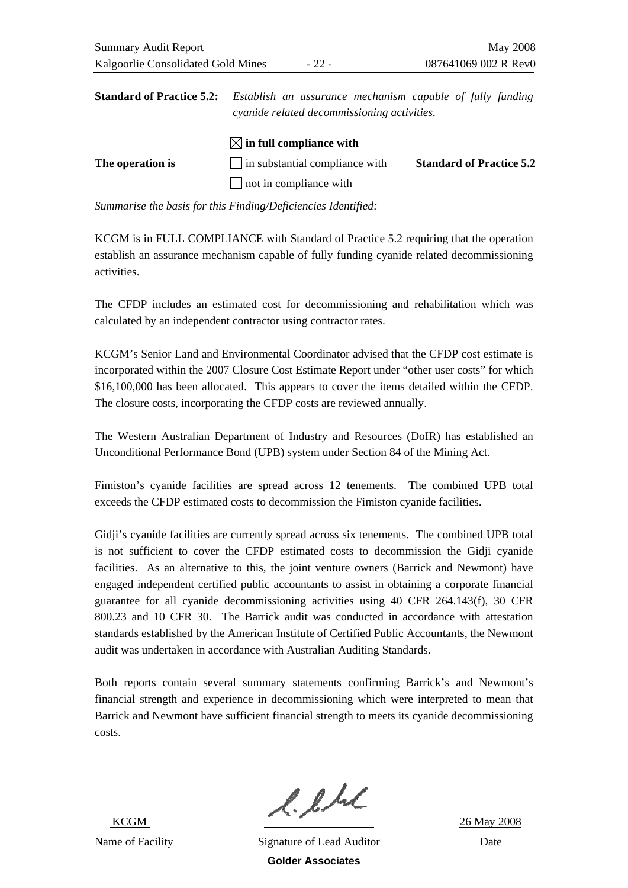**Standard of Practice 5.2:** *Establish an assurance mechanism capable of fully funding cyanide related decommissioning activities.* 

|                  | $\boxtimes$ in full compliance with   |                                 |
|------------------|---------------------------------------|---------------------------------|
| The operation is | $\Box$ in substantial compliance with | <b>Standard of Practice 5.2</b> |
|                  | $\Box$ not in compliance with         |                                 |

*Summarise the basis for this Finding/Deficiencies Identified:* 

KCGM is in FULL COMPLIANCE with Standard of Practice 5.2 requiring that the operation establish an assurance mechanism capable of fully funding cyanide related decommissioning activities.

The CFDP includes an estimated cost for decommissioning and rehabilitation which was calculated by an independent contractor using contractor rates.

KCGM's Senior Land and Environmental Coordinator advised that the CFDP cost estimate is incorporated within the 2007 Closure Cost Estimate Report under "other user costs" for which \$16,100,000 has been allocated. This appears to cover the items detailed within the CFDP. The closure costs, incorporating the CFDP costs are reviewed annually.

The Western Australian Department of Industry and Resources (DoIR) has established an Unconditional Performance Bond (UPB) system under Section 84 of the Mining Act.

Fimiston's cyanide facilities are spread across 12 tenements. The combined UPB total exceeds the CFDP estimated costs to decommission the Fimiston cyanide facilities.

Gidji's cyanide facilities are currently spread across six tenements. The combined UPB total is not sufficient to cover the CFDP estimated costs to decommission the Gidji cyanide facilities. As an alternative to this, the joint venture owners (Barrick and Newmont) have engaged independent certified public accountants to assist in obtaining a corporate financial guarantee for all cyanide decommissioning activities using 40 CFR 264.143(f), 30 CFR 800.23 and 10 CFR 30. The Barrick audit was conducted in accordance with attestation standards established by the American Institute of Certified Public Accountants, the Newmont audit was undertaken in accordance with Australian Auditing Standards.

Both reports contain several summary statements confirming Barrick's and Newmont's financial strength and experience in decommissioning which were interpreted to mean that Barrick and Newmont have sufficient financial strength to meets its cyanide decommissioning costs.

 $l.l.l.l$ <br> $26$  May 2008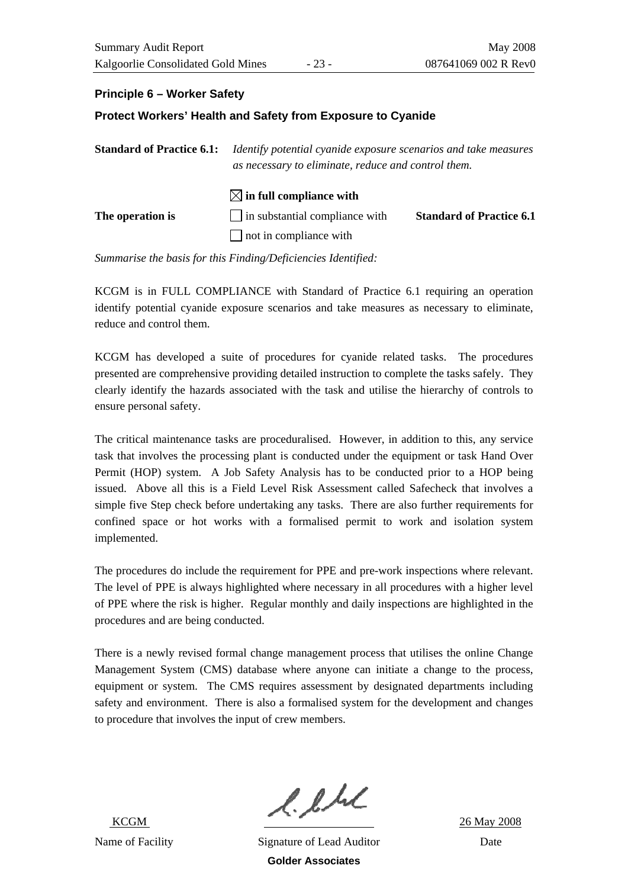### **Principle 6 – Worker Safety**

#### **Protect Workers' Health and Safety from Exposure to Cyanide**

| <b>Standard of Practice 6.1:</b><br>The operation is | Identify potential cyanide exposure scenarios and take measures<br>as necessary to eliminate, reduce and control them. |                                 |
|------------------------------------------------------|------------------------------------------------------------------------------------------------------------------------|---------------------------------|
|                                                      | $\boxtimes$ in full compliance with<br>$\Box$ in substantial compliance with                                           | <b>Standard of Practice 6.1</b> |
|                                                      | $\Box$ not in compliance with                                                                                          |                                 |

*Summarise the basis for this Finding/Deficiencies Identified:* 

KCGM is in FULL COMPLIANCE with Standard of Practice 6.1 requiring an operation identify potential cyanide exposure scenarios and take measures as necessary to eliminate, reduce and control them.

KCGM has developed a suite of procedures for cyanide related tasks. The procedures presented are comprehensive providing detailed instruction to complete the tasks safely. They clearly identify the hazards associated with the task and utilise the hierarchy of controls to ensure personal safety.

The critical maintenance tasks are proceduralised. However, in addition to this, any service task that involves the processing plant is conducted under the equipment or task Hand Over Permit (HOP) system. A Job Safety Analysis has to be conducted prior to a HOP being issued. Above all this is a Field Level Risk Assessment called Safecheck that involves a simple five Step check before undertaking any tasks. There are also further requirements for confined space or hot works with a formalised permit to work and isolation system implemented.

The procedures do include the requirement for PPE and pre-work inspections where relevant. The level of PPE is always highlighted where necessary in all procedures with a higher level of PPE where the risk is higher. Regular monthly and daily inspections are highlighted in the procedures and are being conducted.

There is a newly revised formal change management process that utilises the online Change Management System (CMS) database where anyone can initiate a change to the process, equipment or system. The CMS requires assessment by designated departments including safety and environment. There is also a formalised system for the development and changes to procedure that involves the input of crew members.

 $l.l.l.l$ <br> $26$  May 2008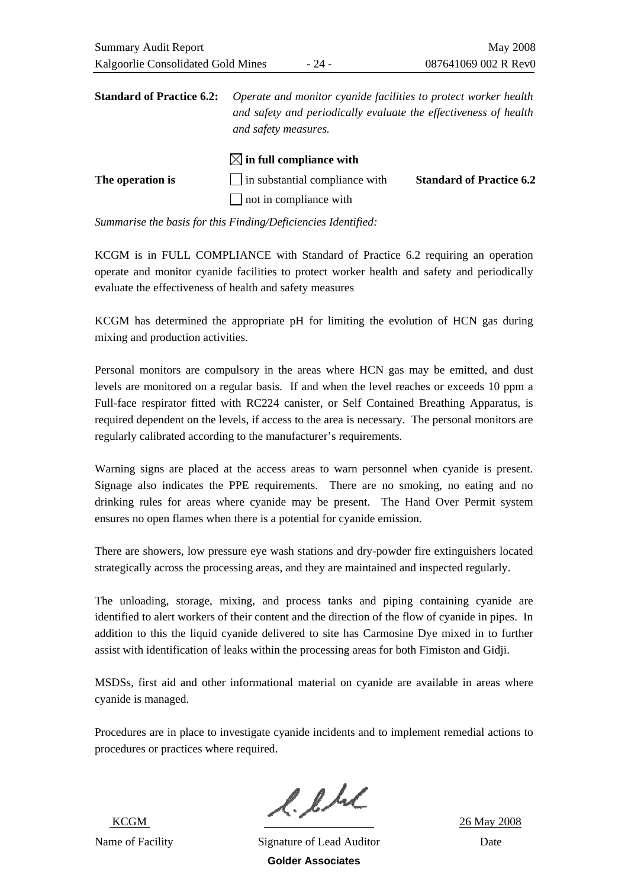|                  | $\bowtie$ in full compliance with     |                                 |
|------------------|---------------------------------------|---------------------------------|
| The operation is | $\Box$ in substantial compliance with | <b>Standard of Practice 6.2</b> |
|                  | $\Box$ not in compliance with         |                                 |

KCGM is in FULL COMPLIANCE with Standard of Practice 6.2 requiring an operation operate and monitor cyanide facilities to protect worker health and safety and periodically evaluate the effectiveness of health and safety measures

KCGM has determined the appropriate pH for limiting the evolution of HCN gas during mixing and production activities.

Personal monitors are compulsory in the areas where HCN gas may be emitted, and dust levels are monitored on a regular basis. If and when the level reaches or exceeds 10 ppm a Full-face respirator fitted with RC224 canister, or Self Contained Breathing Apparatus, is required dependent on the levels, if access to the area is necessary. The personal monitors are regularly calibrated according to the manufacturer's requirements.

Warning signs are placed at the access areas to warn personnel when cyanide is present. Signage also indicates the PPE requirements. There are no smoking, no eating and no drinking rules for areas where cyanide may be present. The Hand Over Permit system ensures no open flames when there is a potential for cyanide emission.

There are showers, low pressure eye wash stations and dry-powder fire extinguishers located strategically across the processing areas, and they are maintained and inspected regularly.

The unloading, storage, mixing, and process tanks and piping containing cyanide are identified to alert workers of their content and the direction of the flow of cyanide in pipes. In addition to this the liquid cyanide delivered to site has Carmosine Dye mixed in to further assist with identification of leaks within the processing areas for both Fimiston and Gidji.

MSDSs, first aid and other informational material on cyanide are available in areas where cyanide is managed.

Procedures are in place to investigate cyanide incidents and to implement remedial actions to procedures or practices where required.

 $l.l.l.l$ <br> $26$  May 2008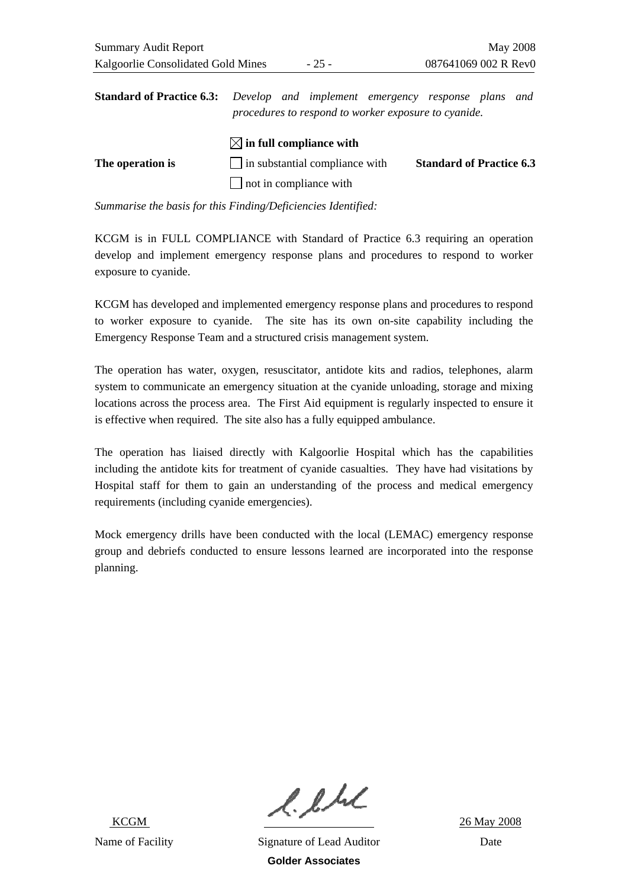**Standard of Practice 6.3:** *Develop and implement emergency response plans and procedures to respond to worker exposure to cyanide.* 

|                  | $\boxtimes$ in full compliance with |                                 |
|------------------|-------------------------------------|---------------------------------|
| The operation is | in substantial compliance with      | <b>Standard of Practice 6.3</b> |
|                  | $\Box$ not in compliance with       |                                 |

*Summarise the basis for this Finding/Deficiencies Identified:* 

KCGM is in FULL COMPLIANCE with Standard of Practice 6.3 requiring an operation develop and implement emergency response plans and procedures to respond to worker exposure to cyanide.

KCGM has developed and implemented emergency response plans and procedures to respond to worker exposure to cyanide. The site has its own on-site capability including the Emergency Response Team and a structured crisis management system.

The operation has water, oxygen, resuscitator, antidote kits and radios, telephones, alarm system to communicate an emergency situation at the cyanide unloading, storage and mixing locations across the process area. The First Aid equipment is regularly inspected to ensure it is effective when required. The site also has a fully equipped ambulance.

The operation has liaised directly with Kalgoorlie Hospital which has the capabilities including the antidote kits for treatment of cyanide casualties. They have had visitations by Hospital staff for them to gain an understanding of the process and medical emergency requirements (including cyanide emergencies).

Mock emergency drills have been conducted with the local (LEMAC) emergency response group and debriefs conducted to ensure lessons learned are incorporated into the response planning.

 $l.l.l.l$ <br> $26$  May 2008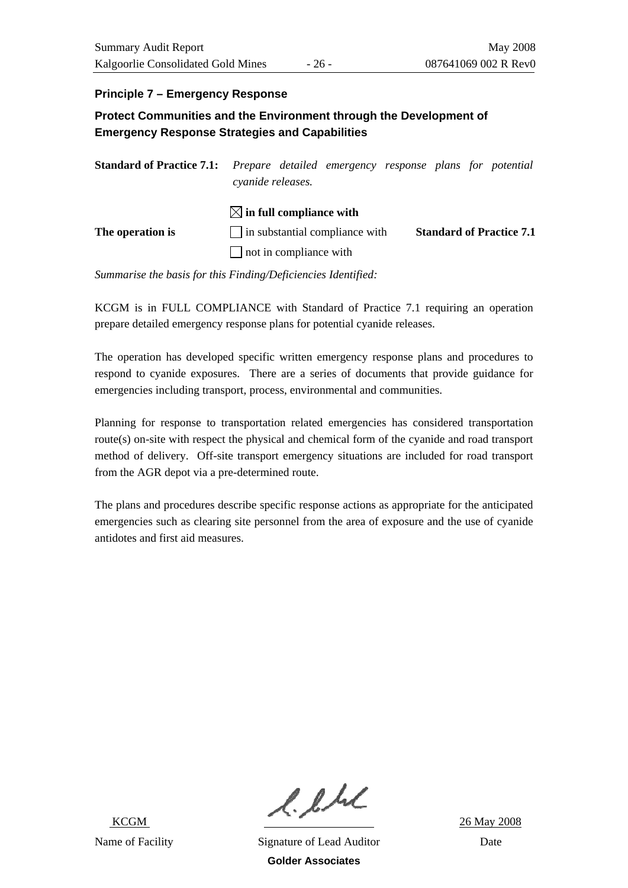### **Principle 7 – Emergency Response**

**Protect Communities and the Environment through the Development of Emergency Response Strategies and Capabilities** 

| <b>Standard of Practice 7.1:</b> Prepare detailed emergency response plans for potential | cyanide releases.                                                                                              |  |                                 |
|------------------------------------------------------------------------------------------|----------------------------------------------------------------------------------------------------------------|--|---------------------------------|
| The operation is                                                                         | $\boxtimes$ in full compliance with<br>$\vert$ in substantial compliance with<br>$\Box$ not in compliance with |  | <b>Standard of Practice 7.1</b> |

*Summarise the basis for this Finding/Deficiencies Identified:* 

KCGM is in FULL COMPLIANCE with Standard of Practice 7.1 requiring an operation prepare detailed emergency response plans for potential cyanide releases.

The operation has developed specific written emergency response plans and procedures to respond to cyanide exposures. There are a series of documents that provide guidance for emergencies including transport, process, environmental and communities.

Planning for response to transportation related emergencies has considered transportation route(s) on-site with respect the physical and chemical form of the cyanide and road transport method of delivery. Off-site transport emergency situations are included for road transport from the AGR depot via a pre-determined route.

The plans and procedures describe specific response actions as appropriate for the anticipated emergencies such as clearing site personnel from the area of exposure and the use of cyanide antidotes and first aid measures.

 $l.l.l.l$ <br> $26$  May 2008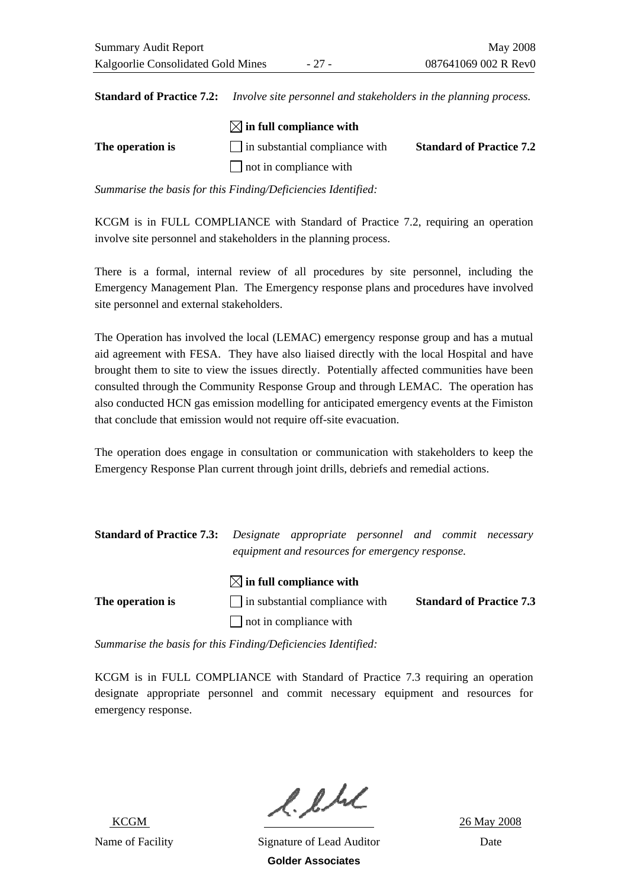**Standard of Practice 7.2:** *Involve site personnel and stakeholders in the planning process.* 

|                  | $\boxtimes$ in full compliance with   |                                 |
|------------------|---------------------------------------|---------------------------------|
| The operation is | $\Box$ in substantial compliance with | <b>Standard of Practice 7.2</b> |
|                  | not in compliance with                |                                 |

*Summarise the basis for this Finding/Deficiencies Identified:* 

KCGM is in FULL COMPLIANCE with Standard of Practice 7.2, requiring an operation involve site personnel and stakeholders in the planning process.

There is a formal, internal review of all procedures by site personnel, including the Emergency Management Plan. The Emergency response plans and procedures have involved site personnel and external stakeholders.

The Operation has involved the local (LEMAC) emergency response group and has a mutual aid agreement with FESA. They have also liaised directly with the local Hospital and have brought them to site to view the issues directly. Potentially affected communities have been consulted through the Community Response Group and through LEMAC. The operation has also conducted HCN gas emission modelling for anticipated emergency events at the Fimiston that conclude that emission would not require off-site evacuation.

The operation does engage in consultation or communication with stakeholders to keep the Emergency Response Plan current through joint drills, debriefs and remedial actions.

| <b>Standard of Practice 7.3:</b> Designate appropriate personnel and commit necessary |                                                 |  |  |
|---------------------------------------------------------------------------------------|-------------------------------------------------|--|--|
|                                                                                       | equipment and resources for emergency response. |  |  |

### $\boxtimes$  in full compliance with

**The operation is**  $\Box$  in substantial compliance with **Standard of Practice 7.3**  $\Box$  not in compliance with

*Summarise the basis for this Finding/Deficiencies Identified:* 

KCGM is in FULL COMPLIANCE with Standard of Practice 7.3 requiring an operation designate appropriate personnel and commit necessary equipment and resources for emergency response.

 $l.l.l.l$ <br> $26$  May 2008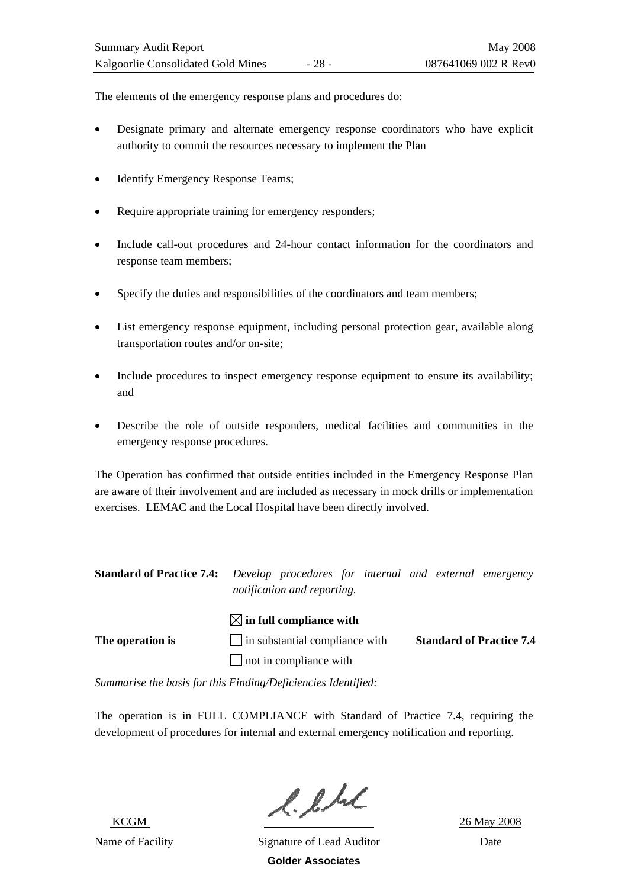The elements of the emergency response plans and procedures do:

- Designate primary and alternate emergency response coordinators who have explicit authority to commit the resources necessary to implement the Plan
- Identify Emergency Response Teams;
- Require appropriate training for emergency responders;
- Include call-out procedures and 24-hour contact information for the coordinators and response team members;
- Specify the duties and responsibilities of the coordinators and team members;
- List emergency response equipment, including personal protection gear, available along transportation routes and/or on-site;
- Include procedures to inspect emergency response equipment to ensure its availability; and
- Describe the role of outside responders, medical facilities and communities in the emergency response procedures.

The Operation has confirmed that outside entities included in the Emergency Response Plan are aware of their involvement and are included as necessary in mock drills or implementation exercises. LEMAC and the Local Hospital have been directly involved.

| <b>Standard of Practice 7.4:</b> Develop procedures for internal and external emergency |                             |  |  |  |
|-----------------------------------------------------------------------------------------|-----------------------------|--|--|--|
|                                                                                         | notification and reporting. |  |  |  |

## $\boxtimes$  in full compliance with **The operation is**  $\Box$  in substantial compliance with **Standard of Practice 7.4**  $\Box$  not in compliance with

*Summarise the basis for this Finding/Deficiencies Identified:* 

The operation is in FULL COMPLIANCE with Standard of Practice 7.4, requiring the development of procedures for internal and external emergency notification and reporting.

 $l.l.l.l$ <br> $26$  May 2008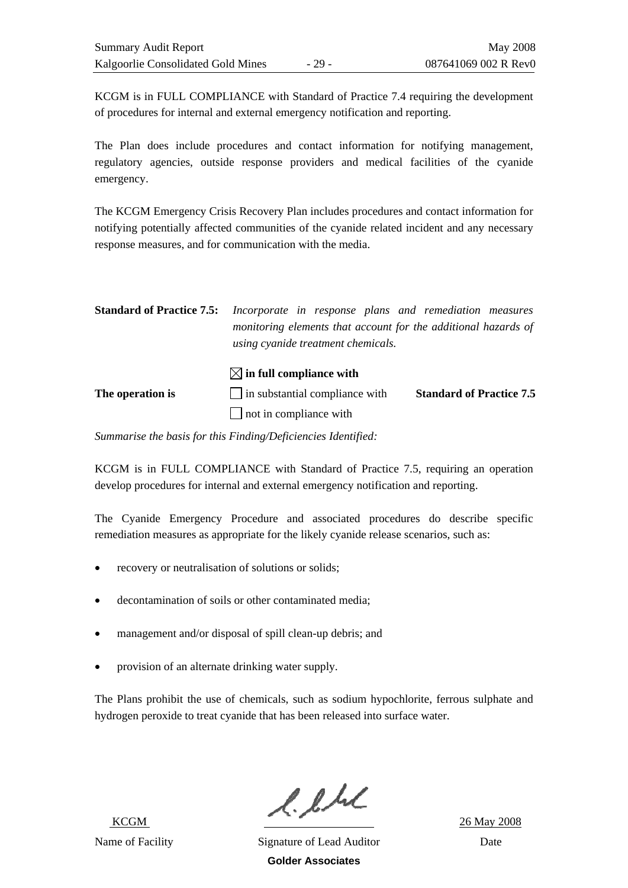KCGM is in FULL COMPLIANCE with Standard of Practice 7.4 requiring the development of procedures for internal and external emergency notification and reporting.

The Plan does include procedures and contact information for notifying management, regulatory agencies, outside response providers and medical facilities of the cyanide emergency.

The KCGM Emergency Crisis Recovery Plan includes procedures and contact information for notifying potentially affected communities of the cyanide related incident and any necessary response measures, and for communication with the media.

| <b>Standard of Practice 7.5:</b> | Incorporate in response plans and remediation measures<br>monitoring elements that account for the additional hazards of<br>using cyanide treatment chemicals. |                                 |
|----------------------------------|----------------------------------------------------------------------------------------------------------------------------------------------------------------|---------------------------------|
|                                  | $\boxtimes$ in full compliance with                                                                                                                            |                                 |
| The operation is                 | $\Box$ in substantial compliance with                                                                                                                          | <b>Standard of Practice 7.5</b> |
|                                  | not in compliance with                                                                                                                                         |                                 |

*Summarise the basis for this Finding/Deficiencies Identified:* 

KCGM is in FULL COMPLIANCE with Standard of Practice 7.5, requiring an operation develop procedures for internal and external emergency notification and reporting.

The Cyanide Emergency Procedure and associated procedures do describe specific remediation measures as appropriate for the likely cyanide release scenarios, such as:

- recovery or neutralisation of solutions or solids;
- decontamination of soils or other contaminated media;
- management and/or disposal of spill clean-up debris; and
- provision of an alternate drinking water supply.

The Plans prohibit the use of chemicals, such as sodium hypochlorite, ferrous sulphate and hydrogen peroxide to treat cyanide that has been released into surface water.

 $l.l.l.l$ <br> $26$  May 2008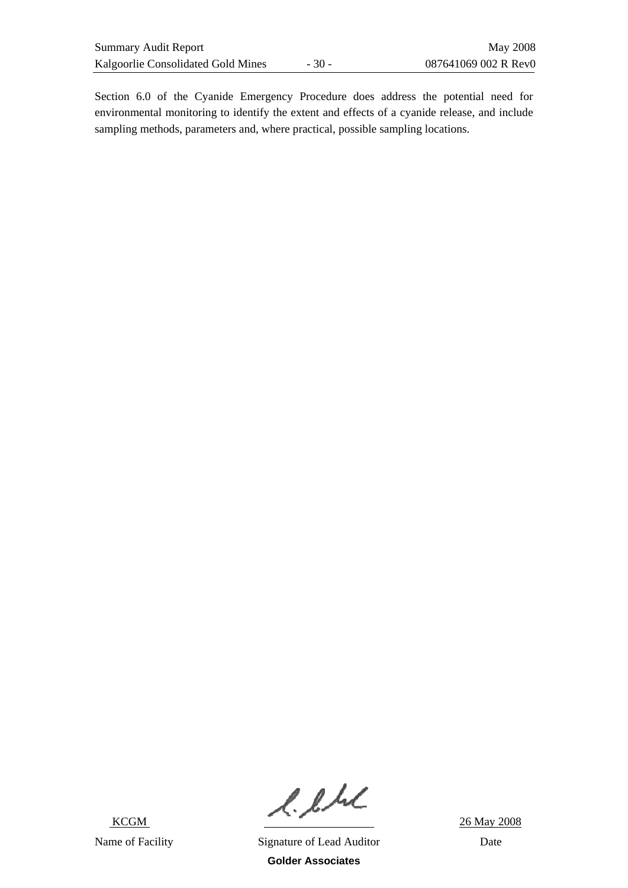Section 6.0 of the Cyanide Emergency Procedure does address the potential need for environmental monitoring to identify the extent and effects of a cyanide release, and include sampling methods, parameters and, where practical, possible sampling locations.

 $l.l.l.l.$  26 May 2008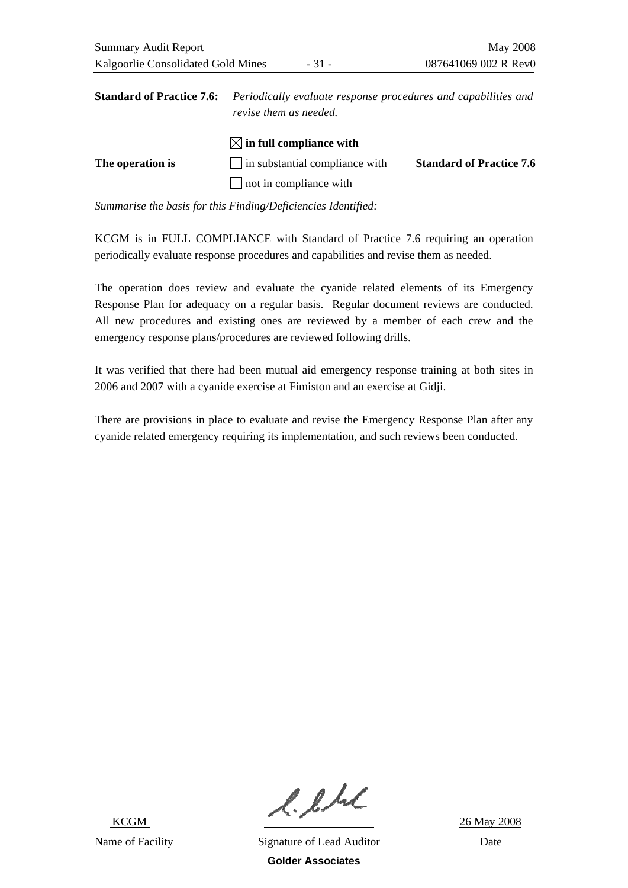|                  | <b>Standard of Practice 7.6:</b> Periodically evaluate response procedures and capabilities and<br>revise them as needed. |                                 |  |
|------------------|---------------------------------------------------------------------------------------------------------------------------|---------------------------------|--|
|                  | $\boxtimes$ in full compliance with                                                                                       |                                 |  |
| The operation is | $\Box$ in substantial compliance with                                                                                     | <b>Standard of Practice 7.6</b> |  |
|                  | $\Box$ not in compliance with                                                                                             |                                 |  |

KCGM is in FULL COMPLIANCE with Standard of Practice 7.6 requiring an operation periodically evaluate response procedures and capabilities and revise them as needed.

The operation does review and evaluate the cyanide related elements of its Emergency Response Plan for adequacy on a regular basis. Regular document reviews are conducted. All new procedures and existing ones are reviewed by a member of each crew and the emergency response plans/procedures are reviewed following drills.

It was verified that there had been mutual aid emergency response training at both sites in 2006 and 2007 with a cyanide exercise at Fimiston and an exercise at Gidji.

There are provisions in place to evaluate and revise the Emergency Response Plan after any cyanide related emergency requiring its implementation, and such reviews been conducted.

 $l.l.l.l$ <br> $26$  May 2008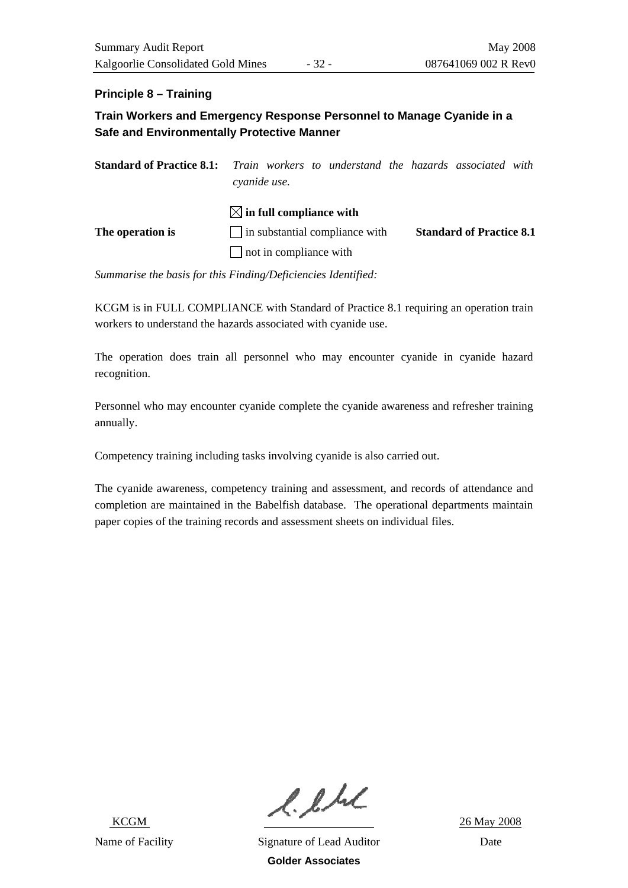### **Principle 8 – Training**

### **Train Workers and Emergency Response Personnel to Manage Cyanide in a Safe and Environmentally Protective Manner**

| <b>Standard of Practice 8.1:</b> Train workers to understand the hazards associated with | cyanide use.                           |  |                                 |  |
|------------------------------------------------------------------------------------------|----------------------------------------|--|---------------------------------|--|
|                                                                                          | $\boxtimes$ in full compliance with    |  |                                 |  |
| The operation is                                                                         | $\vert$ in substantial compliance with |  | <b>Standard of Practice 8.1</b> |  |
|                                                                                          | $\Box$ not in compliance with          |  |                                 |  |

*Summarise the basis for this Finding/Deficiencies Identified:* 

KCGM is in FULL COMPLIANCE with Standard of Practice 8.1 requiring an operation train workers to understand the hazards associated with cyanide use.

The operation does train all personnel who may encounter cyanide in cyanide hazard recognition.

Personnel who may encounter cyanide complete the cyanide awareness and refresher training annually.

Competency training including tasks involving cyanide is also carried out.

The cyanide awareness, competency training and assessment, and records of attendance and completion are maintained in the Babelfish database. The operational departments maintain paper copies of the training records and assessment sheets on individual files.

 $l.l.l.l$ <br> $26$  May 2008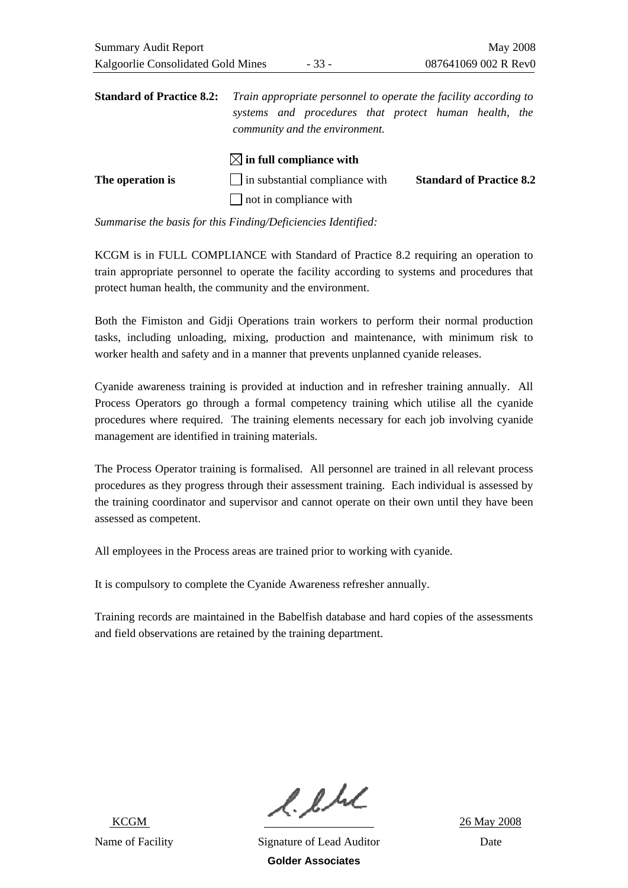|                  | $ \times $ in full compliance with    |                                 |
|------------------|---------------------------------------|---------------------------------|
| The operation is | $\Box$ in substantial compliance with | <b>Standard of Practice 8.2</b> |
|                  | $\Box$ not in compliance with         |                                 |

KCGM is in FULL COMPLIANCE with Standard of Practice 8.2 requiring an operation to train appropriate personnel to operate the facility according to systems and procedures that protect human health, the community and the environment.

Both the Fimiston and Gidji Operations train workers to perform their normal production tasks, including unloading, mixing, production and maintenance, with minimum risk to worker health and safety and in a manner that prevents unplanned cyanide releases.

Cyanide awareness training is provided at induction and in refresher training annually. All Process Operators go through a formal competency training which utilise all the cyanide procedures where required. The training elements necessary for each job involving cyanide management are identified in training materials.

The Process Operator training is formalised. All personnel are trained in all relevant process procedures as they progress through their assessment training. Each individual is assessed by the training coordinator and supervisor and cannot operate on their own until they have been assessed as competent.

All employees in the Process areas are trained prior to working with cyanide.

It is compulsory to complete the Cyanide Awareness refresher annually.

Training records are maintained in the Babelfish database and hard copies of the assessments and field observations are retained by the training department.

 $l.l.l.l$ <br> $26$  May 2008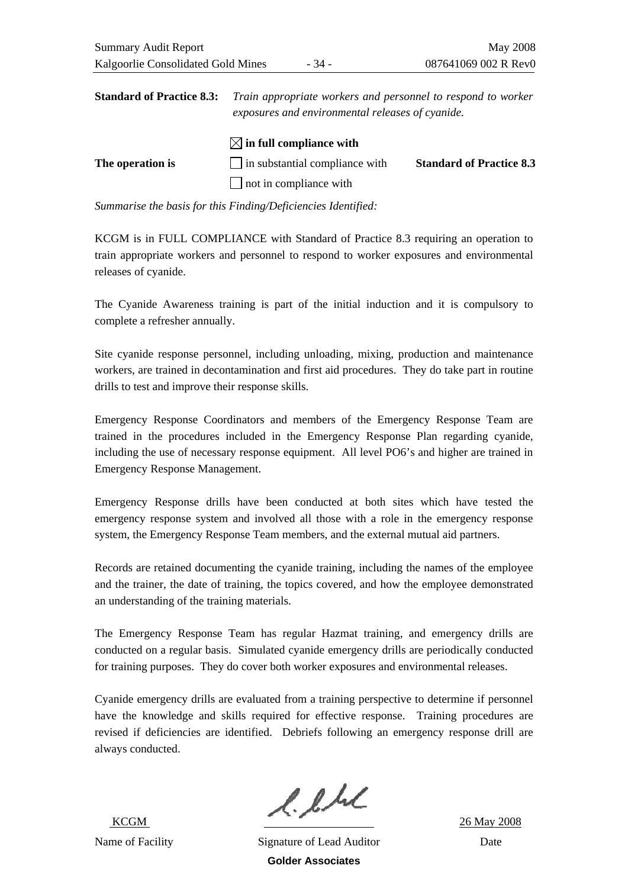**Standard of Practice 8.3:** *Train appropriate workers and personnel to respond to worker exposures and environmental releases of cyanide.* 

|                  | $\boxtimes$ in full compliance with   |                                 |
|------------------|---------------------------------------|---------------------------------|
| The operation is | $\Box$ in substantial compliance with | <b>Standard of Practice 8.3</b> |
|                  | $\Box$ not in compliance with         |                                 |

*Summarise the basis for this Finding/Deficiencies Identified:* 

KCGM is in FULL COMPLIANCE with Standard of Practice 8.3 requiring an operation to train appropriate workers and personnel to respond to worker exposures and environmental releases of cyanide.

The Cyanide Awareness training is part of the initial induction and it is compulsory to complete a refresher annually.

Site cyanide response personnel, including unloading, mixing, production and maintenance workers, are trained in decontamination and first aid procedures. They do take part in routine drills to test and improve their response skills.

Emergency Response Coordinators and members of the Emergency Response Team are trained in the procedures included in the Emergency Response Plan regarding cyanide, including the use of necessary response equipment. All level PO6's and higher are trained in Emergency Response Management.

Emergency Response drills have been conducted at both sites which have tested the emergency response system and involved all those with a role in the emergency response system, the Emergency Response Team members, and the external mutual aid partners.

Records are retained documenting the cyanide training, including the names of the employee and the trainer, the date of training, the topics covered, and how the employee demonstrated an understanding of the training materials.

The Emergency Response Team has regular Hazmat training, and emergency drills are conducted on a regular basis. Simulated cyanide emergency drills are periodically conducted for training purposes. They do cover both worker exposures and environmental releases.

Cyanide emergency drills are evaluated from a training perspective to determine if personnel have the knowledge and skills required for effective response. Training procedures are revised if deficiencies are identified. Debriefs following an emergency response drill are always conducted.

 $l.l.l.l$ <br> $26$  May 2008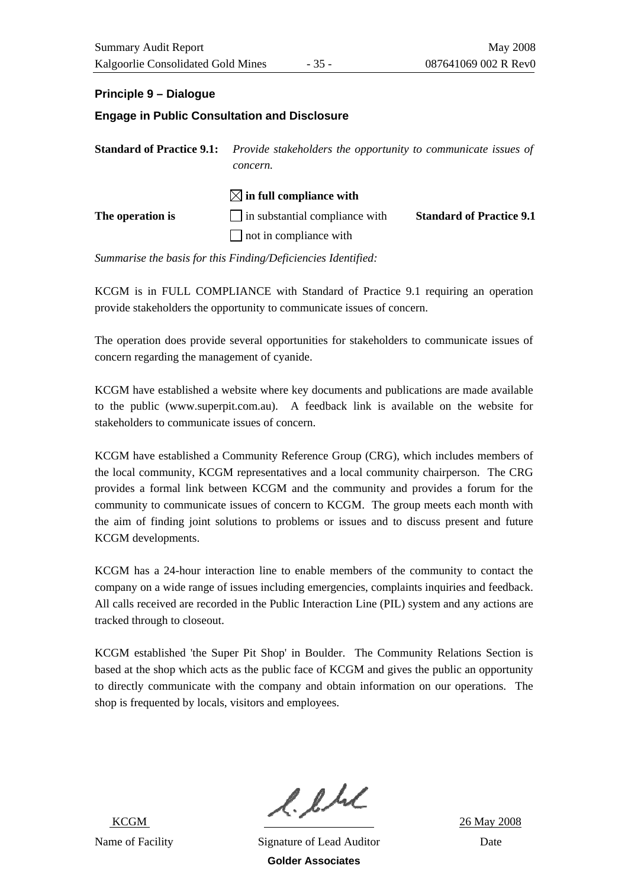### **Principle 9 – Dialogue**

# **Engage in Public Consultation and Disclosure Standard of Practice 9.1:** *Provide stakeholders the opportunity to communicate issues of*

|                  | concern.                              |                                 |
|------------------|---------------------------------------|---------------------------------|
|                  | $\boxtimes$ in full compliance with   |                                 |
| The operation is | $\Box$ in substantial compliance with | <b>Standard of Practice 9.1</b> |
|                  | not in compliance with                |                                 |

*Summarise the basis for this Finding/Deficiencies Identified:* 

KCGM is in FULL COMPLIANCE with Standard of Practice 9.1 requiring an operation provide stakeholders the opportunity to communicate issues of concern.

The operation does provide several opportunities for stakeholders to communicate issues of concern regarding the management of cyanide.

KCGM have established a website where key documents and publications are made available to the public ([www.superpit.com.au](http://www.superpit.com.au/)). A feedback link is available on the website for stakeholders to communicate issues of concern.

KCGM have established a Community Reference Group (CRG), which includes members of the local community, KCGM representatives and a local community chairperson. The CRG provides a formal link between KCGM and the community and provides a forum for the community to communicate issues of concern to KCGM. The group meets each month with the aim of finding joint solutions to problems or issues and to discuss present and future KCGM developments.

KCGM has a 24-hour interaction line to enable members of the community to contact the company on a wide range of issues including emergencies, complaints inquiries and feedback. All calls received are recorded in the Public Interaction Line (PIL) system and any actions are tracked through to closeout.

KCGM established 'the Super Pit Shop' in Boulder. The Community Relations Section is based at the shop which acts as the public face of KCGM and gives the public an opportunity to directly communicate with the company and obtain information on our operations. The shop is frequented by locals, visitors and employees.

 $l.l.l.l$ <br> $26$  May 2008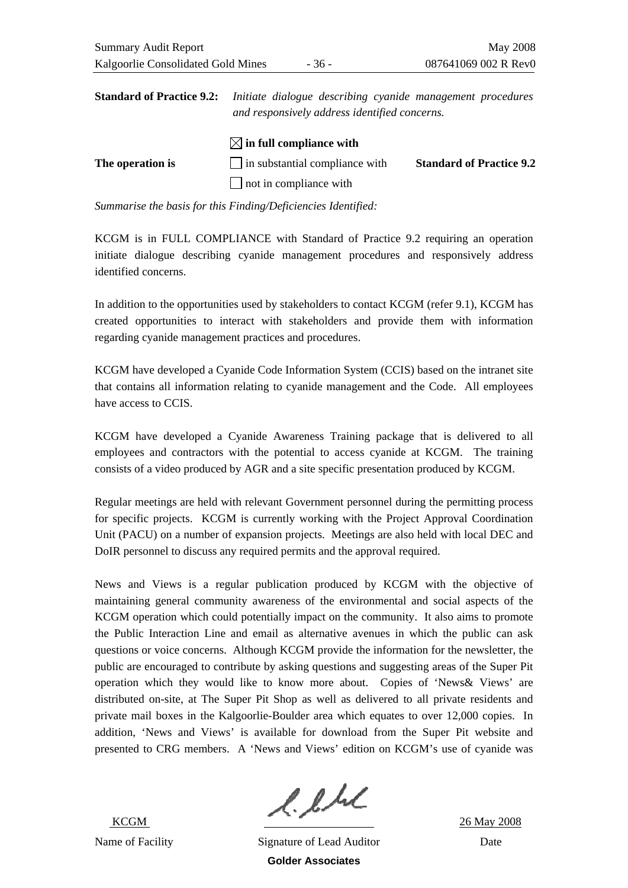| <b>Standard of Practice 9.2:</b> Initiate dialogue describing cyanide management procedures |
|---------------------------------------------------------------------------------------------|
| and responsively address identified concerns.                                               |

|                  | $\boxtimes$ in full compliance with   |                                 |
|------------------|---------------------------------------|---------------------------------|
| The operation is | $\Box$ in substantial compliance with | <b>Standard of Practice 9.2</b> |
|                  | $\Box$ not in compliance with         |                                 |

KCGM is in FULL COMPLIANCE with Standard of Practice 9.2 requiring an operation initiate dialogue describing cyanide management procedures and responsively address identified concerns.

In addition to the opportunities used by stakeholders to contact KCGM (refer 9.1), KCGM has created opportunities to interact with stakeholders and provide them with information regarding cyanide management practices and procedures.

KCGM have developed a Cyanide Code Information System (CCIS) based on the intranet site that contains all information relating to cyanide management and the Code. All employees have access to CCIS.

KCGM have developed a Cyanide Awareness Training package that is delivered to all employees and contractors with the potential to access cyanide at KCGM. The training consists of a video produced by AGR and a site specific presentation produced by KCGM.

Regular meetings are held with relevant Government personnel during the permitting process for specific projects. KCGM is currently working with the Project Approval Coordination Unit (PACU) on a number of expansion projects. Meetings are also held with local DEC and DoIR personnel to discuss any required permits and the approval required.

News and Views is a regular publication produced by KCGM with the objective of maintaining general community awareness of the environmental and social aspects of the KCGM operation which could potentially impact on the community. It also aims to promote the Public Interaction Line and email as alternative avenues in which the public can ask questions or voice concerns. Although KCGM provide the information for the newsletter, the public are encouraged to contribute by asking questions and suggesting areas of the Super Pit operation which they would like to know more about. Copies of 'News& Views' are distributed on-site, at The Super Pit Shop as well as delivered to all private residents and private mail boxes in the Kalgoorlie-Boulder area which equates to over 12,000 copies. In addition, 'News and Views' is available for download from the Super Pit website and presented to CRG members. A 'News and Views' edition on KCGM's use of cyanide was

 $l.l.l.l.$ <br> $k_{\text{CGM}}$  26 May 2008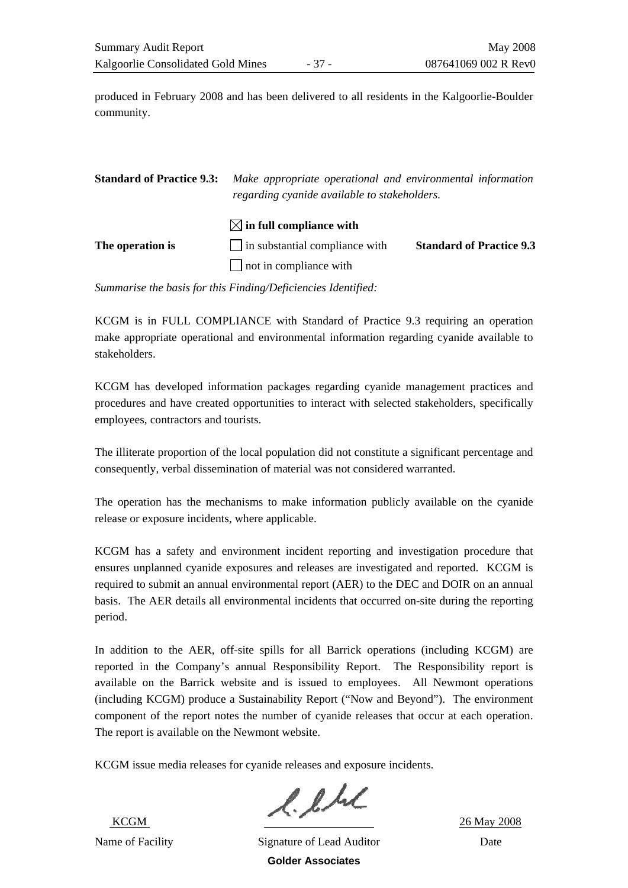produced in February 2008 and has been delivered to all residents in the Kalgoorlie-Boulder community.

| <b>Standard of Practice 9.3:</b> | Make appropriate operational and environmental information<br>regarding cyanide available to stakeholders. |                                 |
|----------------------------------|------------------------------------------------------------------------------------------------------------|---------------------------------|
|                                  | $\boxtimes$ in full compliance with<br>$\Box$ in substantial compliance with                               |                                 |
| The operation is                 | $\Box$ not in compliance with                                                                              | <b>Standard of Practice 9.3</b> |

*Summarise the basis for this Finding/Deficiencies Identified:* 

KCGM is in FULL COMPLIANCE with Standard of Practice 9.3 requiring an operation make appropriate operational and environmental information regarding cyanide available to stakeholders.

KCGM has developed information packages regarding cyanide management practices and procedures and have created opportunities to interact with selected stakeholders, specifically employees, contractors and tourists.

The illiterate proportion of the local population did not constitute a significant percentage and consequently, verbal dissemination of material was not considered warranted.

The operation has the mechanisms to make information publicly available on the cyanide release or exposure incidents, where applicable.

KCGM has a safety and environment incident reporting and investigation procedure that ensures unplanned cyanide exposures and releases are investigated and reported. KCGM is required to submit an annual environmental report (AER) to the DEC and DOIR on an annual basis. The AER details all environmental incidents that occurred on-site during the reporting period.

In addition to the AER, off-site spills for all Barrick operations (including KCGM) are reported in the Company's annual Responsibility Report. The Responsibility report is available on the Barrick website and is issued to employees. All Newmont operations (including KCGM) produce a Sustainability Report ("Now and Beyond"). The environment component of the report notes the number of cyanide releases that occur at each operation. The report is available on the Newmont website.

KCGM issue media releases for cyanide releases and exposure incidents.

 $l.l.l.l.$ <br>ECGM 26 May 2008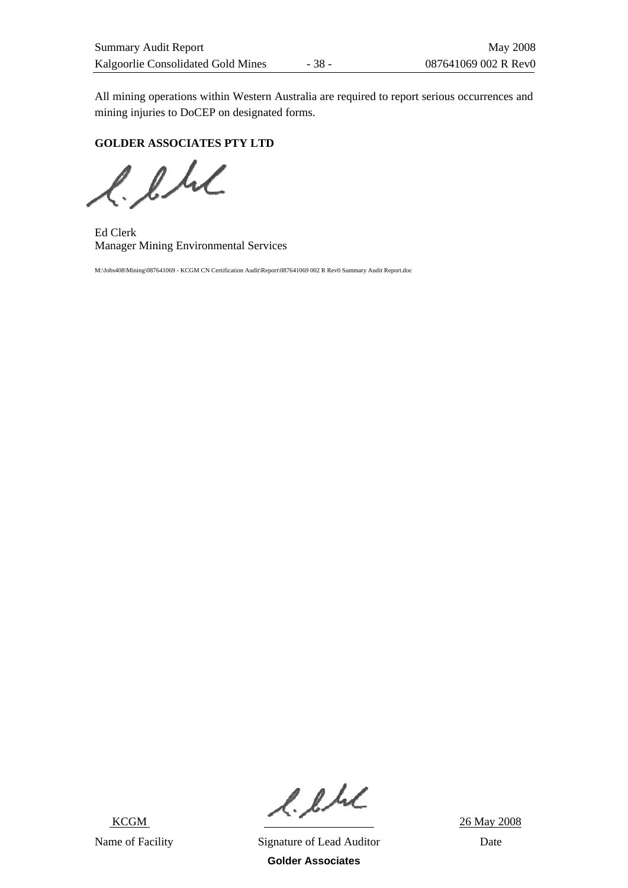All mining operations within Western Australia are required to report serious occurrences and mining injuries to DoCEP on designated forms.

**GOLDER ASSOCIATES PTY LTD** 

 $l.l.l.$ 

Ed Clerk Manager Mining Environmental Services

M:\Jobs408\Mining\087641069 - KCGM CN Certification Audit\Report\087641069 002 R Rev0 Summary Audit Report.doc

KCGM

 $2.6 M_{\odot}$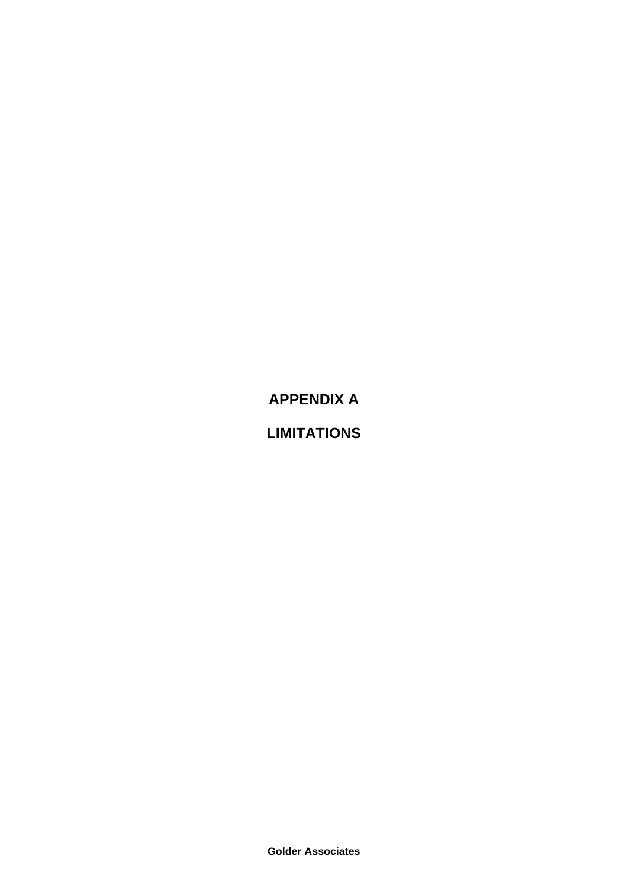**APPENDIX A** 

**LIMITATIONS** 

**Golder Associates**